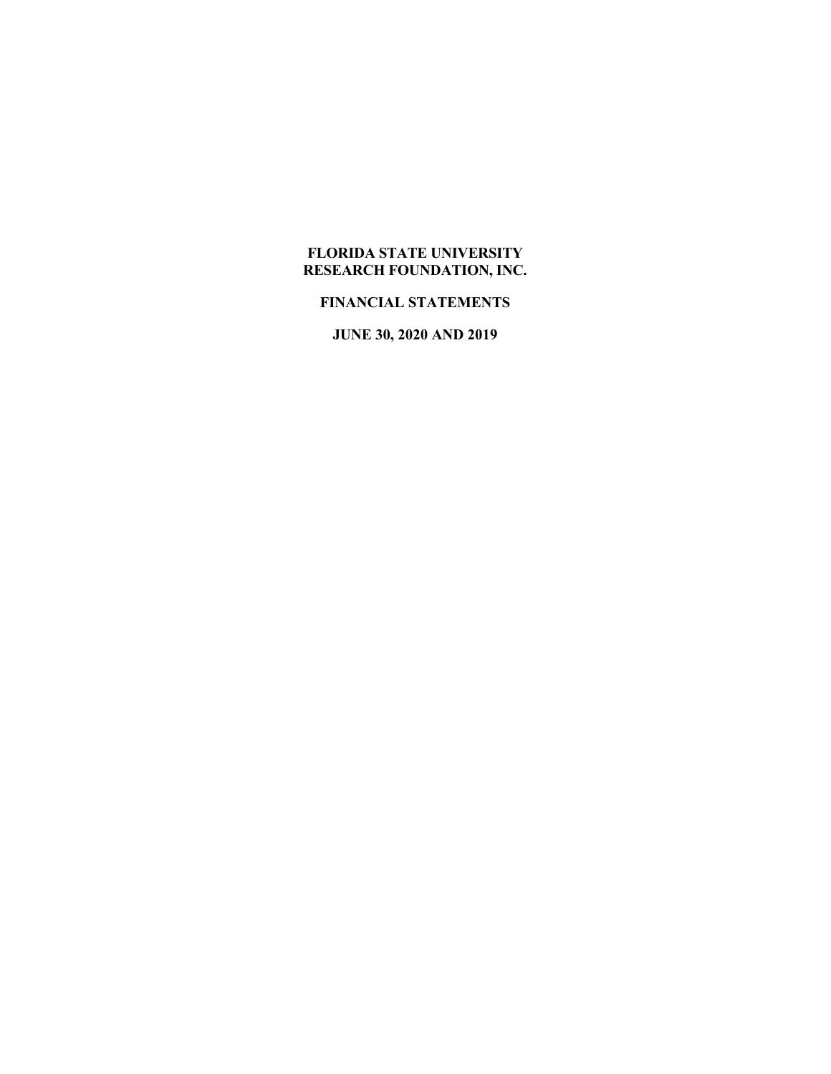### **FLORIDA STATE UNIVERSITY RESEARCH FOUNDATION, INC.**

## **FINANCIAL STATEMENTS**

**JUNE 30, 2020 AND 2019**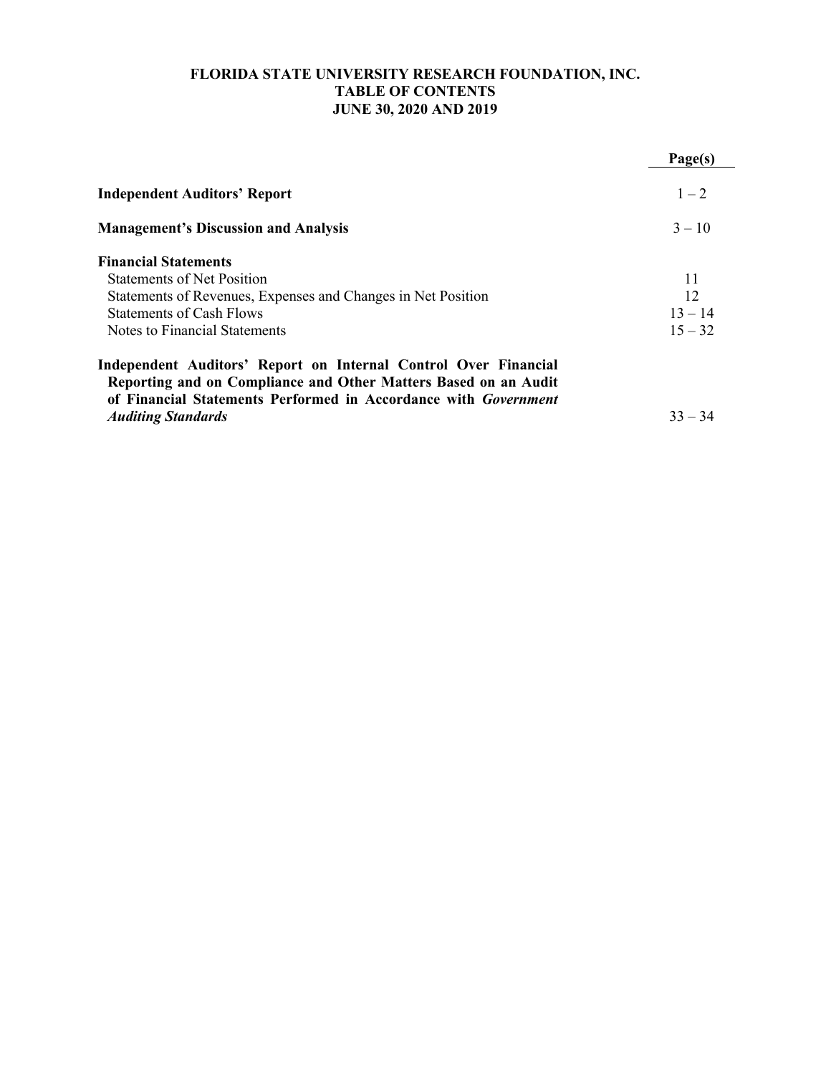# **FLORIDA STATE UNIVERSITY RESEARCH FOUNDATION, INC. TABLE OF CONTENTS JUNE 30, 2020 AND 2019**

|                                                                                                                                                                                                              | Page(s)   |
|--------------------------------------------------------------------------------------------------------------------------------------------------------------------------------------------------------------|-----------|
| <b>Independent Auditors' Report</b>                                                                                                                                                                          | $1 - 2$   |
| <b>Management's Discussion and Analysis</b>                                                                                                                                                                  | $3 - 10$  |
| <b>Financial Statements</b>                                                                                                                                                                                  |           |
| <b>Statements of Net Position</b>                                                                                                                                                                            | 11        |
| Statements of Revenues, Expenses and Changes in Net Position                                                                                                                                                 | 12        |
| <b>Statements of Cash Flows</b>                                                                                                                                                                              | $13 - 14$ |
| Notes to Financial Statements                                                                                                                                                                                | $15 - 32$ |
| Independent Auditors' Report on Internal Control Over Financial<br>Reporting and on Compliance and Other Matters Based on an Audit<br>of Financial Statements Performed in Accordance with <i>Government</i> |           |
| <b>Auditing Standards</b>                                                                                                                                                                                    | $33 - 34$ |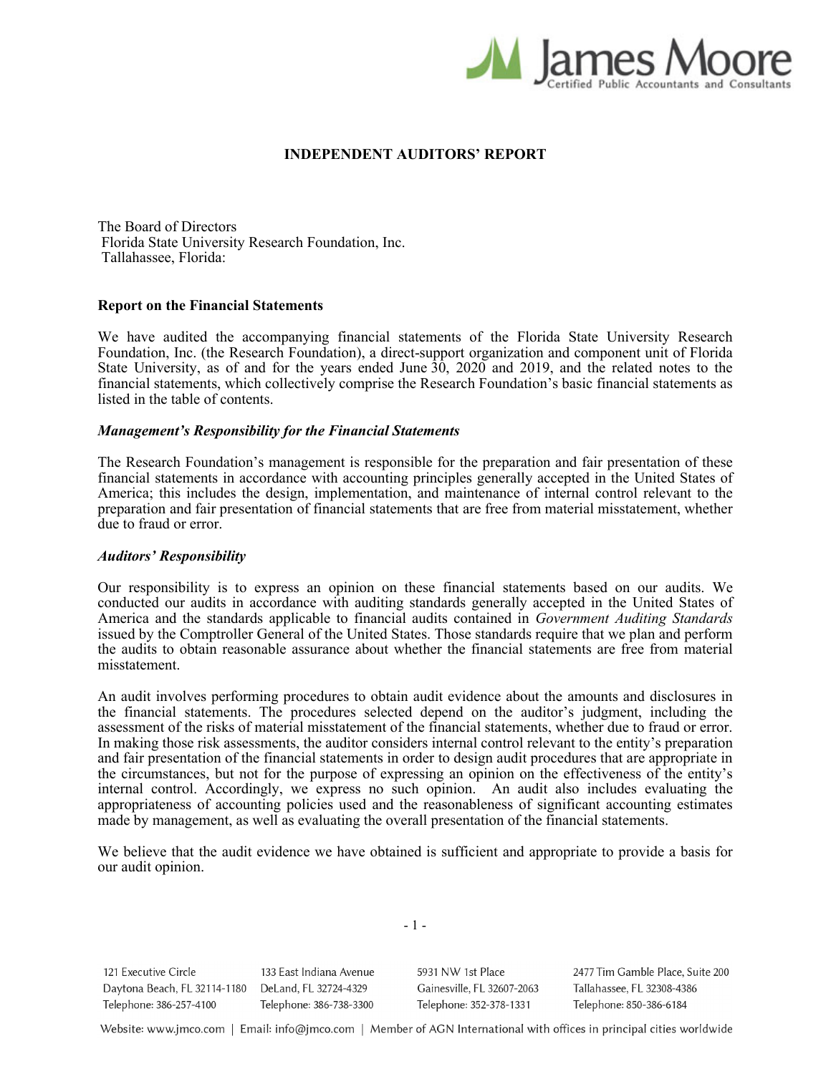

#### **INDEPENDENT AUDITORS' REPORT**

The Board of Directors Florida State University Research Foundation, Inc. Tallahassee, Florida:

#### **Report on the Financial Statements**

We have audited the accompanying financial statements of the Florida State University Research Foundation, Inc. (the Research Foundation), a direct-support organization and component unit of Florida State University, as of and for the years ended June  $30$ ,  $2020$  and  $2019$ , and the related notes to the financial statements, which collectively comprise the Research Foundation's basic financial statements as listed in the table of contents.

#### *Management's Responsibility for the Financial Statements*

The Research Foundation's management is responsible for the preparation and fair presentation of these financial statements in accordance with accounting principles generally accepted in the United States of America; this includes the design, implementation, and maintenance of internal control relevant to the preparation and fair presentation of financial statements that are free from material misstatement, whether due to fraud or error.

#### *Auditors' Responsibility*

Our responsibility is to express an opinion on these financial statements based on our audits. We conducted our audits in accordance with auditing standards generally accepted in the United States of America and the standards applicable to financial audits contained in *Government Auditing Standards* issued by the Comptroller General of the United States. Those standards require that we plan and perform the audits to obtain reasonable assurance about whether the financial statements are free from material misstatement.

An audit involves performing procedures to obtain audit evidence about the amounts and disclosures in the financial statements. The procedures selected depend on the auditor's judgment, including the assessment of the risks of material misstatement of the financial statements, whether due to fraud or error. In making those risk assessments, the auditor considers internal control relevant to the entity's preparation and fair presentation of the financial statements in order to design audit procedures that are appropriate in the circumstances, but not for the purpose of expressing an opinion on the effectiveness of the entity's internal control. Accordingly, we express no such opinion. An audit also includes evaluating the appropriateness of accounting policies used and the reasonableness of significant accounting estimates made by management, as well as evaluating the overall presentation of the financial statements.

We believe that the audit evidence we have obtained is sufficient and appropriate to provide a basis for our audit opinion.

- 1 -

121 Executive Circle 133 East Indiana Avenue Daytona Beach, FL 32114-1180 DeLand, FL 32724-4329 Telephone: 386-257-4100 Telephone: 386-738-3300

5931 NW 1st Place Gainesville, FL 32607-2063 Telephone: 352-378-1331

2477 Tim Gamble Place, Suite 200 Tallahassee, FL 32308-4386 Telephone: 850-386-6184

Website: www.jmco.com | Email: info@jmco.com | Member of AGN International with offices in principal cities worldwide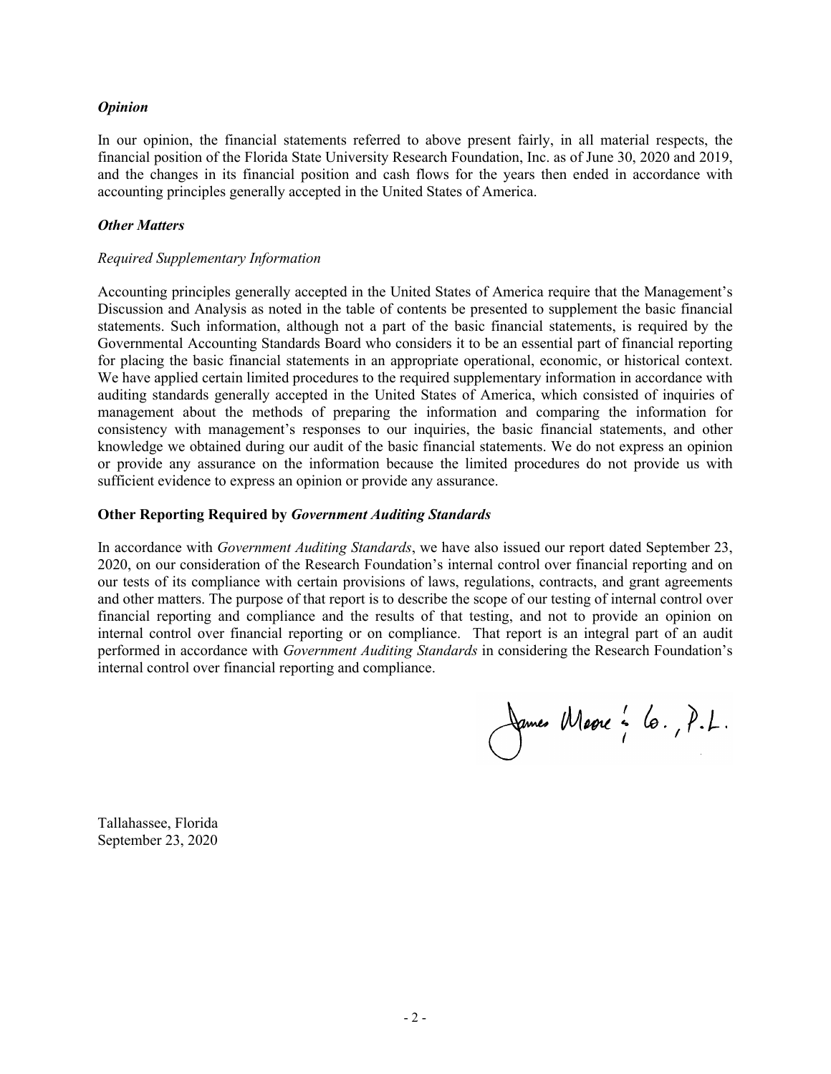#### *Opinion*

In our opinion, the financial statements referred to above present fairly, in all material respects, the financial position of the Florida State University Research Foundation, Inc. as of June 30, 2020 and 2019, and the changes in its financial position and cash flows for the years then ended in accordance with accounting principles generally accepted in the United States of America.

#### *Other Matters*

#### *Required Supplementary Information*

Accounting principles generally accepted in the United States of America require that the Management's Discussion and Analysis as noted in the table of contents be presented to supplement the basic financial statements. Such information, although not a part of the basic financial statements, is required by the Governmental Accounting Standards Board who considers it to be an essential part of financial reporting for placing the basic financial statements in an appropriate operational, economic, or historical context. We have applied certain limited procedures to the required supplementary information in accordance with auditing standards generally accepted in the United States of America, which consisted of inquiries of management about the methods of preparing the information and comparing the information for consistency with management's responses to our inquiries, the basic financial statements, and other knowledge we obtained during our audit of the basic financial statements. We do not express an opinion or provide any assurance on the information because the limited procedures do not provide us with sufficient evidence to express an opinion or provide any assurance.

### **Other Reporting Required by** *Government Auditing Standards*

In accordance with *Government Auditing Standards*, we have also issued our report dated September 23, 2020, on our consideration of the Research Foundation's internal control over financial reporting and on our tests of its compliance with certain provisions of laws, regulations, contracts, and grant agreements and other matters. The purpose of that report is to describe the scope of our testing of internal control over financial reporting and compliance and the results of that testing, and not to provide an opinion on internal control over financial reporting or on compliance. That report is an integral part of an audit performed in accordance with *Government Auditing Standards* in considering the Research Foundation's internal control over financial reporting and compliance.

James Marre : 6., P.L.

Tallahassee, Florida September 23, 2020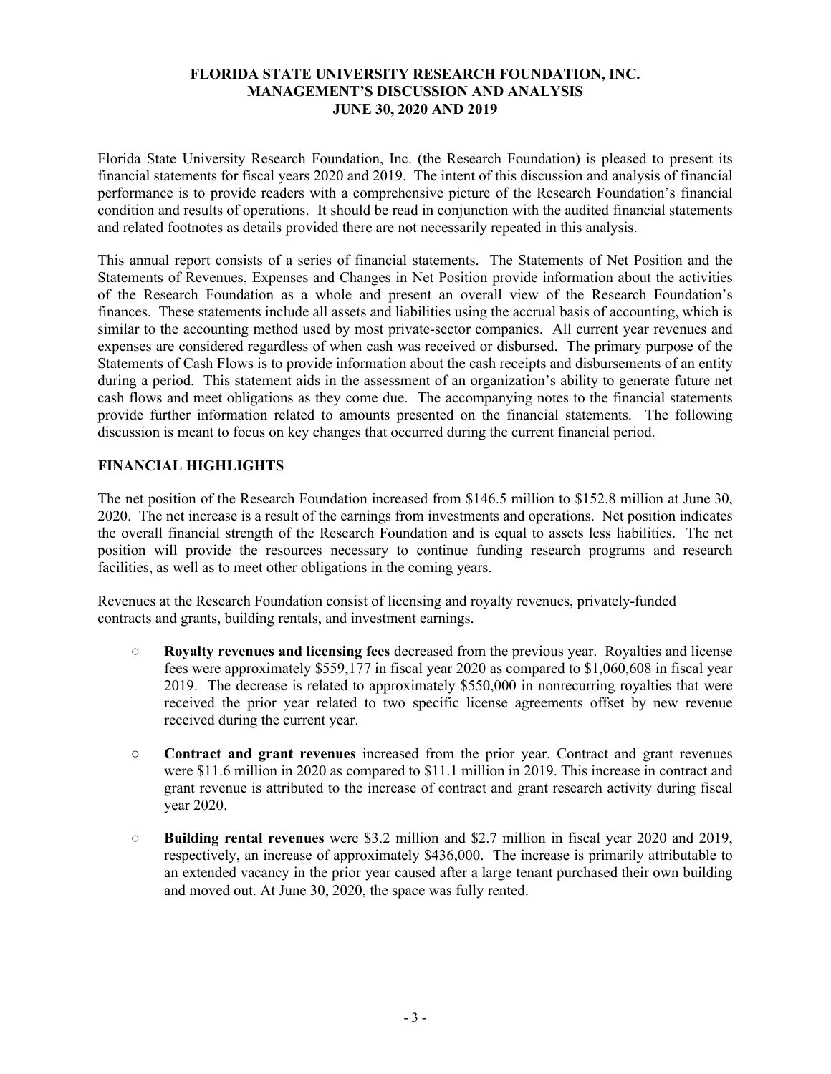## **FLORIDA STATE UNIVERSITY RESEARCH FOUNDATION, INC. MANAGEMENT'S DISCUSSION AND ANALYSIS JUNE 30, 2020 AND 2019**

Florida State University Research Foundation, Inc. (the Research Foundation) is pleased to present its financial statements for fiscal years 2020 and 2019. The intent of this discussion and analysis of financial performance is to provide readers with a comprehensive picture of the Research Foundation's financial condition and results of operations. It should be read in conjunction with the audited financial statements and related footnotes as details provided there are not necessarily repeated in this analysis.

This annual report consists of a series of financial statements. The Statements of Net Position and the Statements of Revenues, Expenses and Changes in Net Position provide information about the activities of the Research Foundation as a whole and present an overall view of the Research Foundation's finances. These statements include all assets and liabilities using the accrual basis of accounting, which is similar to the accounting method used by most private-sector companies. All current year revenues and expenses are considered regardless of when cash was received or disbursed. The primary purpose of the Statements of Cash Flows is to provide information about the cash receipts and disbursements of an entity during a period. This statement aids in the assessment of an organization's ability to generate future net cash flows and meet obligations as they come due. The accompanying notes to the financial statements provide further information related to amounts presented on the financial statements. The following discussion is meant to focus on key changes that occurred during the current financial period.

# **FINANCIAL HIGHLIGHTS**

The net position of the Research Foundation increased from \$146.5 million to \$152.8 million at June 30, 2020. The net increase is a result of the earnings from investments and operations. Net position indicates the overall financial strength of the Research Foundation and is equal to assets less liabilities. The net position will provide the resources necessary to continue funding research programs and research facilities, as well as to meet other obligations in the coming years.

Revenues at the Research Foundation consist of licensing and royalty revenues, privately-funded contracts and grants, building rentals, and investment earnings.

- **○ Royalty revenues and licensing fees** decreased from the previous year. Royalties and license fees were approximately \$559,177 in fiscal year 2020 as compared to \$1,060,608 in fiscal year 2019. The decrease is related to approximately \$550,000 in nonrecurring royalties that were received the prior year related to two specific license agreements offset by new revenue received during the current year.
- **○ Contract and grant revenues** increased from the prior year. Contract and grant revenues were \$11.6 million in 2020 as compared to \$11.1 million in 2019. This increase in contract and grant revenue is attributed to the increase of contract and grant research activity during fiscal year 2020.
- **○ Building rental revenues** were \$3.2 million and \$2.7 million in fiscal year 2020 and 2019, respectively, an increase of approximately \$436,000. The increase is primarily attributable to an extended vacancy in the prior year caused after a large tenant purchased their own building and moved out. At June 30, 2020, the space was fully rented.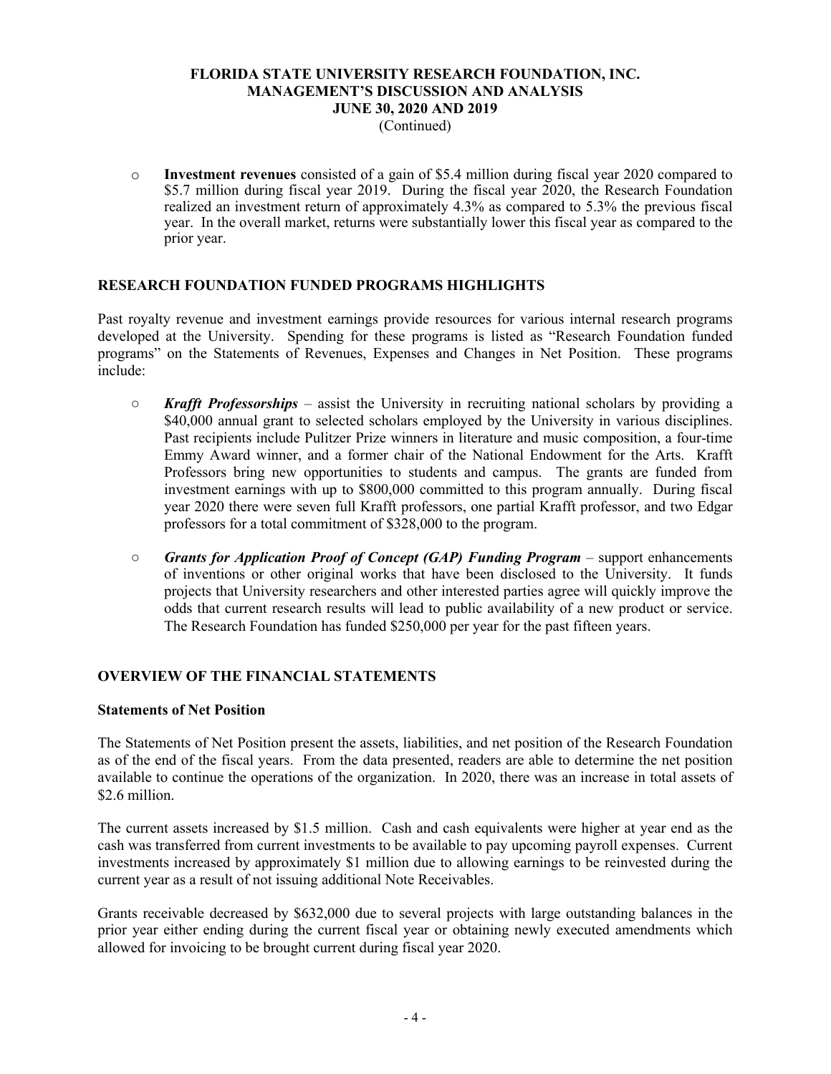# **FLORIDA STATE UNIVERSITY RESEARCH FOUNDATION, INC. MANAGEMENT'S DISCUSSION AND ANALYSIS JUNE 30, 2020 AND 2019**

(Continued)

o **Investment revenues** consisted of a gain of \$5.4 million during fiscal year 2020 compared to \$5.7 million during fiscal year 2019. During the fiscal year 2020, the Research Foundation realized an investment return of approximately 4.3% as compared to 5.3% the previous fiscal year. In the overall market, returns were substantially lower this fiscal year as compared to the prior year.

## **RESEARCH FOUNDATION FUNDED PROGRAMS HIGHLIGHTS**

Past royalty revenue and investment earnings provide resources for various internal research programs developed at the University. Spending for these programs is listed as "Research Foundation funded programs" on the Statements of Revenues, Expenses and Changes in Net Position. These programs include:

- **○** *Krafft Professorships* assist the University in recruiting national scholars by providing a \$40,000 annual grant to selected scholars employed by the University in various disciplines. Past recipients include Pulitzer Prize winners in literature and music composition, a four-time Emmy Award winner, and a former chair of the National Endowment for the Arts. Krafft Professors bring new opportunities to students and campus. The grants are funded from investment earnings with up to \$800,000 committed to this program annually. During fiscal year 2020 there were seven full Krafft professors, one partial Krafft professor, and two Edgar professors for a total commitment of \$328,000 to the program.
- **○** *Grants for Application Proof of Concept (GAP) Funding Program*  support enhancements of inventions or other original works that have been disclosed to the University. It funds projects that University researchers and other interested parties agree will quickly improve the odds that current research results will lead to public availability of a new product or service. The Research Foundation has funded \$250,000 per year for the past fifteen years.

# **OVERVIEW OF THE FINANCIAL STATEMENTS**

### **Statements of Net Position**

The Statements of Net Position present the assets, liabilities, and net position of the Research Foundation as of the end of the fiscal years. From the data presented, readers are able to determine the net position available to continue the operations of the organization. In 2020, there was an increase in total assets of \$2.6 million.

The current assets increased by \$1.5 million. Cash and cash equivalents were higher at year end as the cash was transferred from current investments to be available to pay upcoming payroll expenses. Current investments increased by approximately \$1 million due to allowing earnings to be reinvested during the current year as a result of not issuing additional Note Receivables.

Grants receivable decreased by \$632,000 due to several projects with large outstanding balances in the prior year either ending during the current fiscal year or obtaining newly executed amendments which allowed for invoicing to be brought current during fiscal year 2020.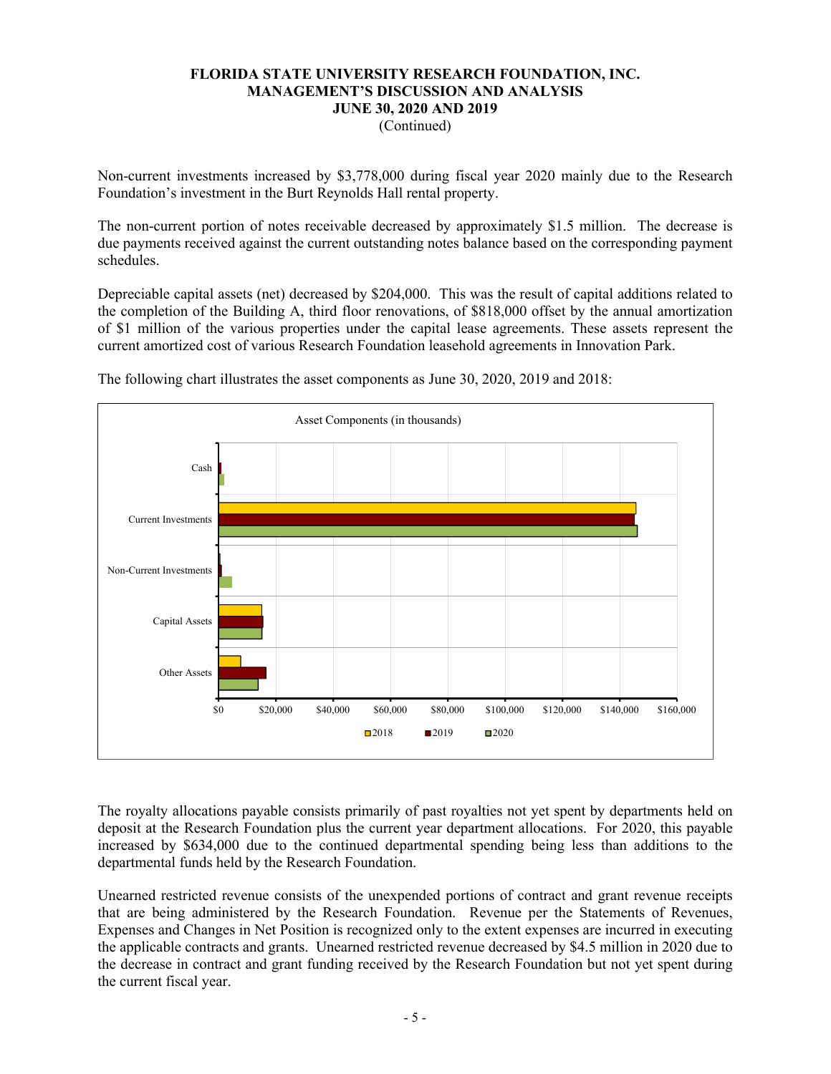#### **FLORIDA STATE UNIVERSITY RESEARCH FOUNDATION, INC. MANAGEMENT'S DISCUSSION AND ANALYSIS JUNE 30, 2020 AND 2019** (Continued)

Non-current investments increased by \$3,778,000 during fiscal year 2020 mainly due to the Research Foundation's investment in the Burt Reynolds Hall rental property.

The non-current portion of notes receivable decreased by approximately \$1.5 million. The decrease is due payments received against the current outstanding notes balance based on the corresponding payment schedules.

Depreciable capital assets (net) decreased by \$204,000. This was the result of capital additions related to the completion of the Building A, third floor renovations, of \$818,000 offset by the annual amortization of \$1 million of the various properties under the capital lease agreements. These assets represent the current amortized cost of various Research Foundation leasehold agreements in Innovation Park.



The following chart illustrates the asset components as June 30, 2020, 2019 and 2018:

The royalty allocations payable consists primarily of past royalties not yet spent by departments held on deposit at the Research Foundation plus the current year department allocations. For 2020, this payable increased by \$634,000 due to the continued departmental spending being less than additions to the departmental funds held by the Research Foundation.

Unearned restricted revenue consists of the unexpended portions of contract and grant revenue receipts that are being administered by the Research Foundation. Revenue per the Statements of Revenues, Expenses and Changes in Net Position is recognized only to the extent expenses are incurred in executing the applicable contracts and grants. Unearned restricted revenue decreased by \$4.5 million in 2020 due to the decrease in contract and grant funding received by the Research Foundation but not yet spent during the current fiscal year.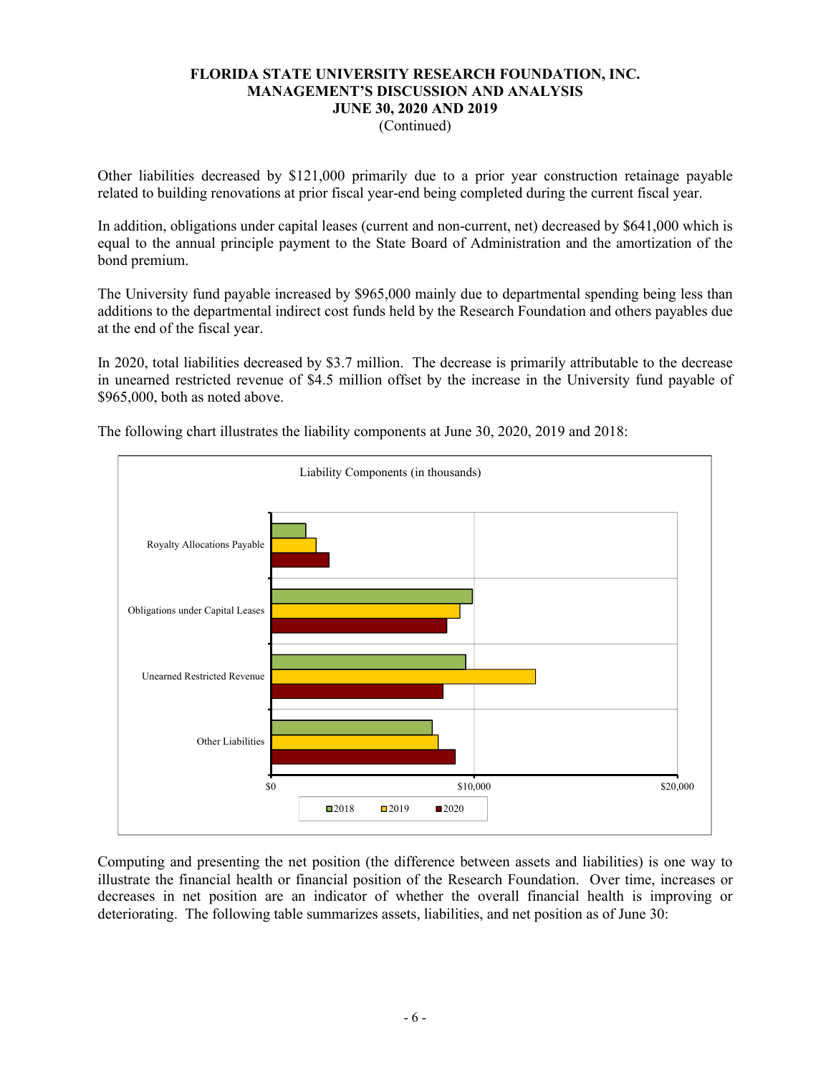### **FLORIDA STATE UNIVERSITY RESEARCH FOUNDATION, INC. MANAGEMENT'S DISCUSSION AND ANALYSIS JUNE 30, 2020 AND 2019** (Continued)

Other liabilities decreased by \$121,000 primarily due to a prior year construction retainage payable related to building renovations at prior fiscal year-end being completed during the current fiscal year.

In addition, obligations under capital leases (current and non-current, net) decreased by \$641,000 which is equal to the annual principle payment to the State Board of Administration and the amortization of the bond premium.

The University fund payable increased by \$965,000 mainly due to departmental spending being less than additions to the departmental indirect cost funds held by the Research Foundation and others payables due at the end of the fiscal year.

In 2020, total liabilities decreased by \$3.7 million. The decrease is primarily attributable to the decrease in unearned restricted revenue of \$4.5 million offset by the increase in the University fund payable of \$965,000, both as noted above.



The following chart illustrates the liability components at June 30, 2020, 2019 and 2018:

Computing and presenting the net position (the difference between assets and liabilities) is one way to illustrate the financial health or financial position of the Research Foundation. Over time, increases or decreases in net position are an indicator of whether the overall financial health is improving or deteriorating. The following table summarizes assets, liabilities, and net position as of June 30: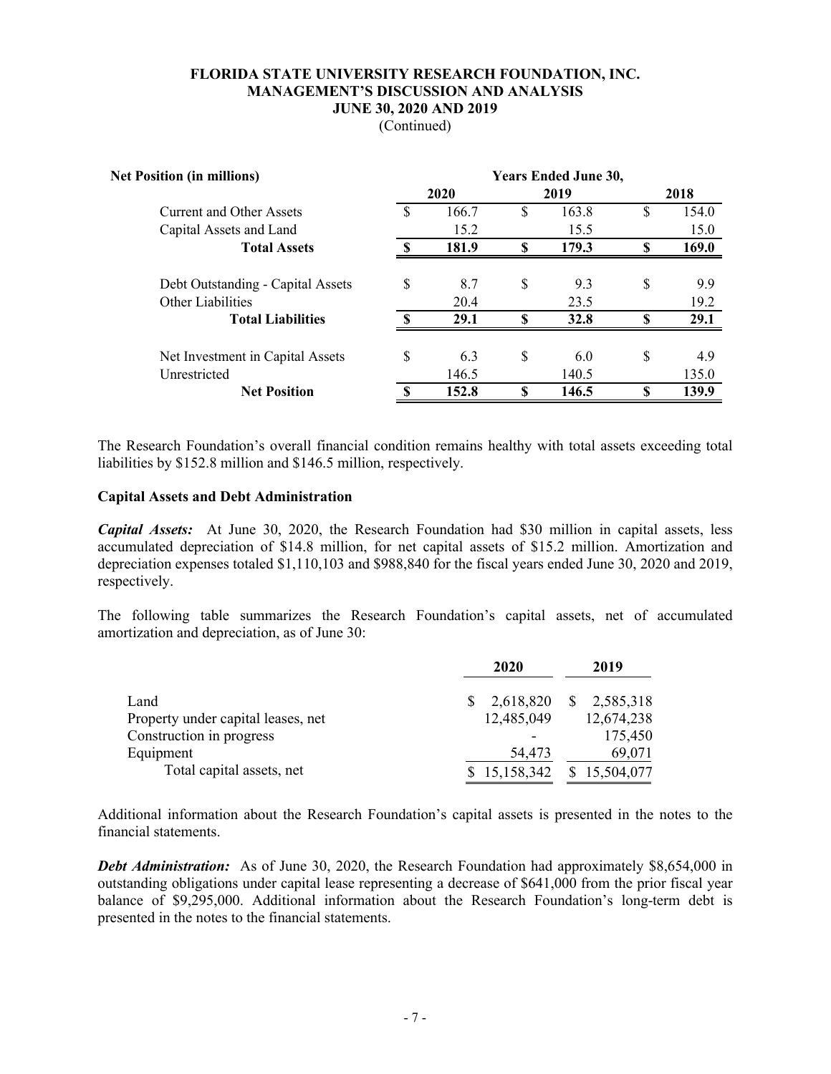### **FLORIDA STATE UNIVERSITY RESEARCH FOUNDATION, INC. MANAGEMENT'S DISCUSSION AND ANALYSIS JUNE 30, 2020 AND 2019**

(Continued)

| <b>Net Position (in millions)</b> |    |       | <b>Years Ended June 30,</b> |      |       |
|-----------------------------------|----|-------|-----------------------------|------|-------|
|                                   |    | 2020  | 2019                        | 2018 |       |
| Current and Other Assets          | S  | 166.7 | \$<br>163.8                 | S    | 154.0 |
| Capital Assets and Land           |    | 15.2  | 15.5                        |      | 15.0  |
| <b>Total Assets</b>               |    | 181.9 | \$<br>179.3                 |      | 169.0 |
| Debt Outstanding - Capital Assets | \$ | 8.7   | \$<br>9.3                   | S    | 9.9   |
| <b>Other Liabilities</b>          |    | 20.4  | 23.5                        |      | 19.2  |
| <b>Total Liabilities</b>          |    | 29.1  | \$<br>32.8                  |      | 29.1  |
| Net Investment in Capital Assets  | \$ | 6.3   | \$<br>6.0                   | S    | 4.9   |
| Unrestricted                      |    | 146.5 | 140.5                       |      | 135.0 |
| <b>Net Position</b>               |    | 152.8 | 146.5                       |      | 139.9 |

The Research Foundation's overall financial condition remains healthy with total assets exceeding total liabilities by \$152.8 million and \$146.5 million, respectively.

#### **Capital Assets and Debt Administration**

*Capital Assets:* At June 30, 2020, the Research Foundation had \$30 million in capital assets, less accumulated depreciation of \$14.8 million, for net capital assets of \$15.2 million. Amortization and depreciation expenses totaled \$1,110,103 and \$988,840 for the fiscal years ended June 30, 2020 and 2019, respectively.

The following table summarizes the Research Foundation's capital assets, net of accumulated amortization and depreciation, as of June 30:

|                                    | 2020 |              |    | 2019         |  |  |
|------------------------------------|------|--------------|----|--------------|--|--|
| Land                               |      | 2,618,820    | S. | 2,585,318    |  |  |
| Property under capital leases, net |      | 12,485,049   |    | 12,674,238   |  |  |
| Construction in progress           |      |              |    | 175,450      |  |  |
| Equipment                          |      | 54,473       |    | 69,071       |  |  |
| Total capital assets, net          |      | \$15,158,342 |    | \$15,504,077 |  |  |

Additional information about the Research Foundation's capital assets is presented in the notes to the financial statements.

**Debt Administration:** As of June 30, 2020, the Research Foundation had approximately \$8,654,000 in outstanding obligations under capital lease representing a decrease of \$641,000 from the prior fiscal year balance of \$9,295,000. Additional information about the Research Foundation's long-term debt is presented in the notes to the financial statements.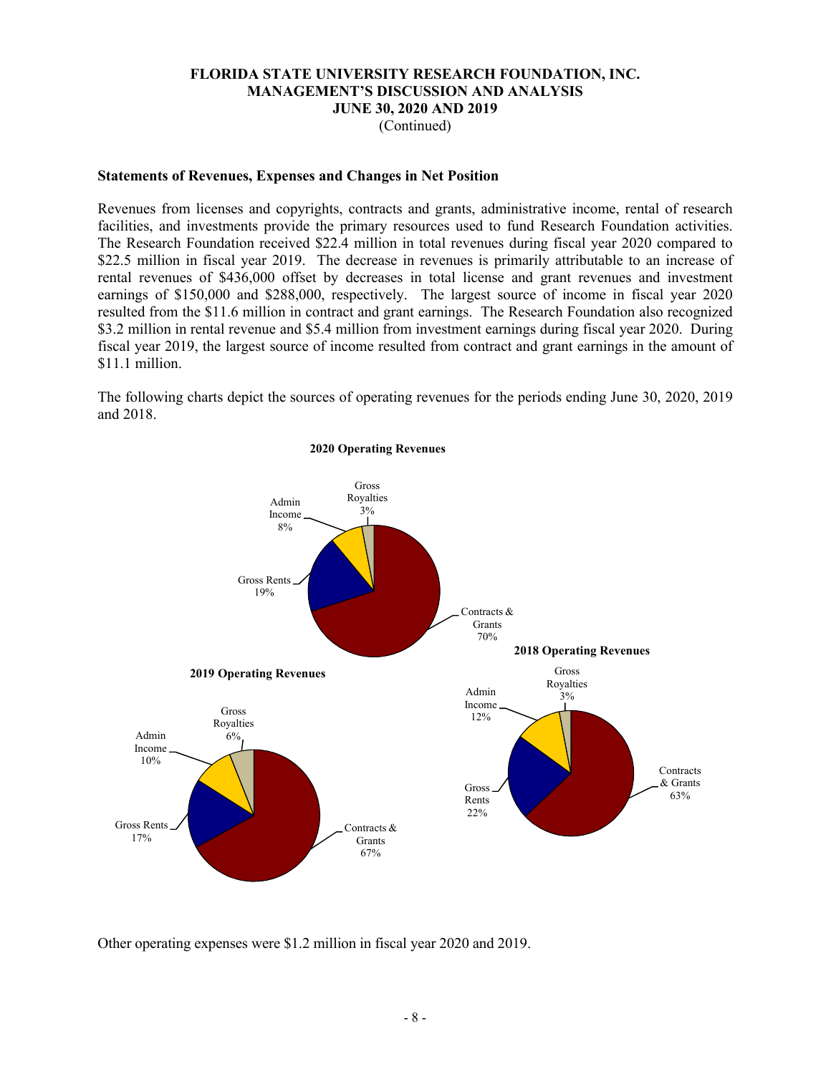#### **FLORIDA STATE UNIVERSITY RESEARCH FOUNDATION, INC. MANAGEMENT'S DISCUSSION AND ANALYSIS JUNE 30, 2020 AND 2019** (Continued)

#### **Statements of Revenues, Expenses and Changes in Net Position**

Revenues from licenses and copyrights, contracts and grants, administrative income, rental of research facilities, and investments provide the primary resources used to fund Research Foundation activities. The Research Foundation received \$22.4 million in total revenues during fiscal year 2020 compared to \$22.5 million in fiscal year 2019. The decrease in revenues is primarily attributable to an increase of rental revenues of \$436,000 offset by decreases in total license and grant revenues and investment earnings of \$150,000 and \$288,000, respectively. The largest source of income in fiscal year 2020 resulted from the \$11.6 million in contract and grant earnings. The Research Foundation also recognized \$3.2 million in rental revenue and \$5.4 million from investment earnings during fiscal year 2020. During fiscal year 2019, the largest source of income resulted from contract and grant earnings in the amount of \$11.1 million.

The following charts depict the sources of operating revenues for the periods ending June 30, 2020, 2019 and 2018.



**2020 Operating Revenues**

Other operating expenses were \$1.2 million in fiscal year 2020 and 2019.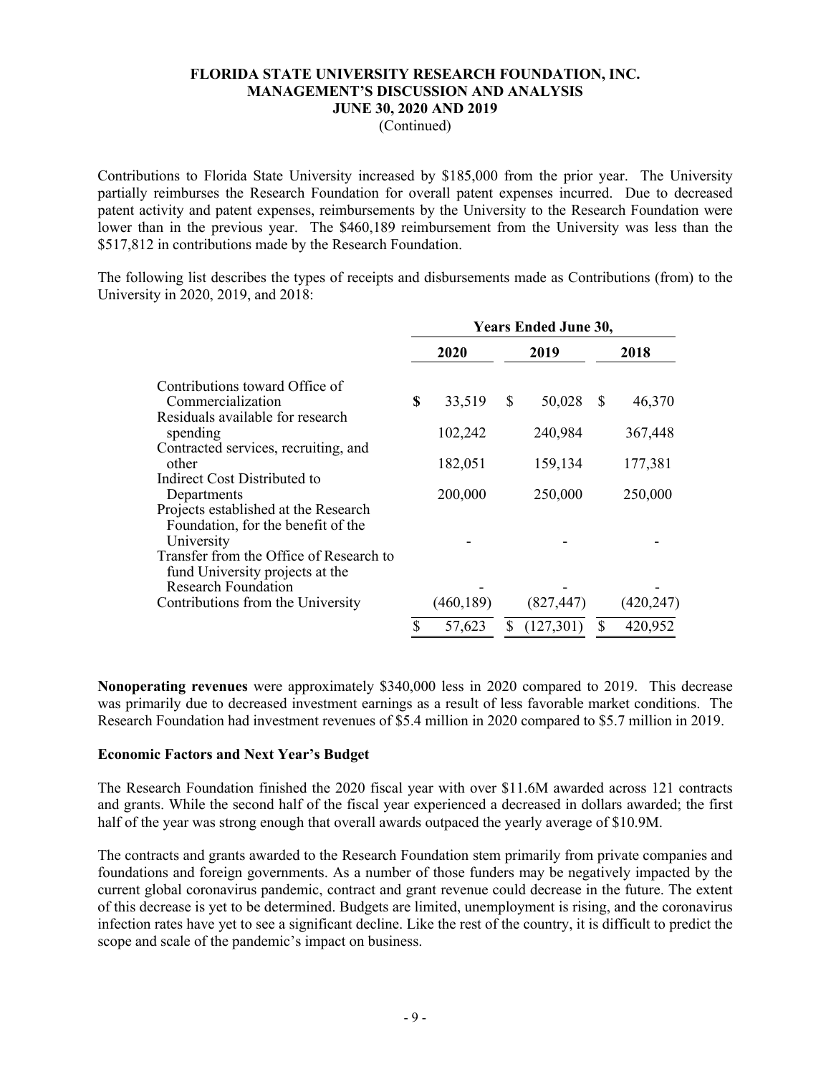# **FLORIDA STATE UNIVERSITY RESEARCH FOUNDATION, INC. MANAGEMENT'S DISCUSSION AND ANALYSIS JUNE 30, 2020 AND 2019**

(Continued)

Contributions to Florida State University increased by \$185,000 from the prior year. The University partially reimburses the Research Foundation for overall patent expenses incurred. Due to decreased patent activity and patent expenses, reimbursements by the University to the Research Foundation were lower than in the previous year. The \$460,189 reimbursement from the University was less than the \$517,812 in contributions made by the Research Foundation.

The following list describes the types of receipts and disbursements made as Contributions (from) to the University in 2020, 2019, and 2018:

|                                                                            |      | <b>Years Ended June 30,</b> |    |            |      |            |  |  |
|----------------------------------------------------------------------------|------|-----------------------------|----|------------|------|------------|--|--|
|                                                                            | 2020 |                             |    | 2019       | 2018 |            |  |  |
| Contributions toward Office of                                             |      |                             |    |            |      |            |  |  |
| Commercialization                                                          | \$   | 33,519                      | \$ | 50,028     | S    | 46,370     |  |  |
| Residuals available for research<br>spending                               |      | 102,242                     |    | 240,984    |      | 367,448    |  |  |
| Contracted services, recruiting, and<br>other                              |      | 182,051                     |    | 159,134    |      | 177,381    |  |  |
| Indirect Cost Distributed to<br>Departments                                |      | 200,000                     |    | 250,000    |      | 250,000    |  |  |
| Projects established at the Research<br>Foundation, for the benefit of the |      |                             |    |            |      |            |  |  |
| University                                                                 |      |                             |    |            |      |            |  |  |
| Transfer from the Office of Research to<br>fund University projects at the |      |                             |    |            |      |            |  |  |
| <b>Research Foundation</b>                                                 |      |                             |    |            |      |            |  |  |
| Contributions from the University                                          |      | (460, 189)                  |    | (827, 447) |      | (420, 247) |  |  |
|                                                                            |      | 57,623                      | \$ | (127,301)  | \$   | 420,952    |  |  |

**Nonoperating revenues** were approximately \$340,000 less in 2020 compared to 2019. This decrease was primarily due to decreased investment earnings as a result of less favorable market conditions. The Research Foundation had investment revenues of \$5.4 million in 2020 compared to \$5.7 million in 2019.

#### **Economic Factors and Next Year's Budget**

The Research Foundation finished the 2020 fiscal year with over \$11.6M awarded across 121 contracts and grants. While the second half of the fiscal year experienced a decreased in dollars awarded; the first half of the year was strong enough that overall awards outpaced the yearly average of \$10.9M.

The contracts and grants awarded to the Research Foundation stem primarily from private companies and foundations and foreign governments. As a number of those funders may be negatively impacted by the current global coronavirus pandemic, contract and grant revenue could decrease in the future. The extent of this decrease is yet to be determined. Budgets are limited, unemployment is rising, and the coronavirus infection rates have yet to see a significant decline. Like the rest of the country, it is difficult to predict the scope and scale of the pandemic's impact on business.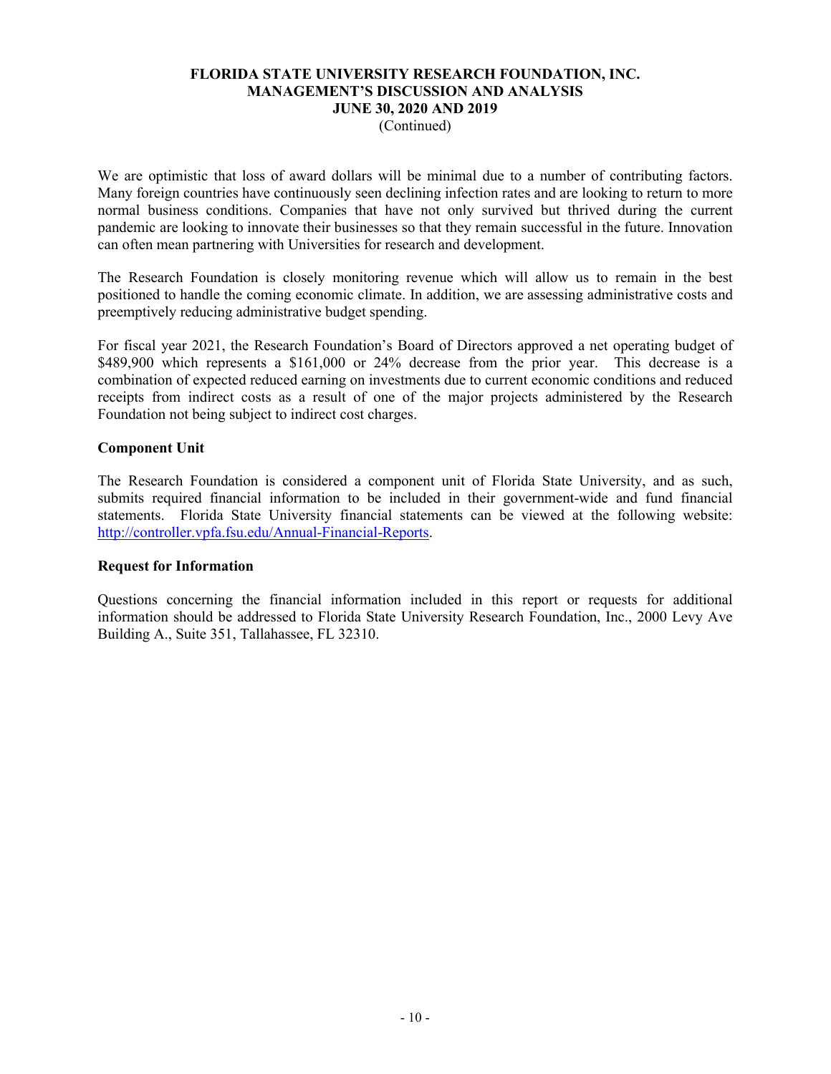# **FLORIDA STATE UNIVERSITY RESEARCH FOUNDATION, INC. MANAGEMENT'S DISCUSSION AND ANALYSIS JUNE 30, 2020 AND 2019**

(Continued)

We are optimistic that loss of award dollars will be minimal due to a number of contributing factors. Many foreign countries have continuously seen declining infection rates and are looking to return to more normal business conditions. Companies that have not only survived but thrived during the current pandemic are looking to innovate their businesses so that they remain successful in the future. Innovation can often mean partnering with Universities for research and development.

The Research Foundation is closely monitoring revenue which will allow us to remain in the best positioned to handle the coming economic climate. In addition, we are assessing administrative costs and preemptively reducing administrative budget spending.

For fiscal year 2021, the Research Foundation's Board of Directors approved a net operating budget of \$489,900 which represents a \$161,000 or 24% decrease from the prior year. This decrease is a combination of expected reduced earning on investments due to current economic conditions and reduced receipts from indirect costs as a result of one of the major projects administered by the Research Foundation not being subject to indirect cost charges.

#### **Component Unit**

The Research Foundation is considered a component unit of Florida State University, and as such, submits required financial information to be included in their government-wide and fund financial statements. Florida State University financial statements can be viewed at the following website: http://controller.vpfa.fsu.edu/Annual-Financial-Reports.

#### **Request for Information**

Questions concerning the financial information included in this report or requests for additional information should be addressed to Florida State University Research Foundation, Inc., 2000 Levy Ave Building A., Suite 351, Tallahassee, FL 32310.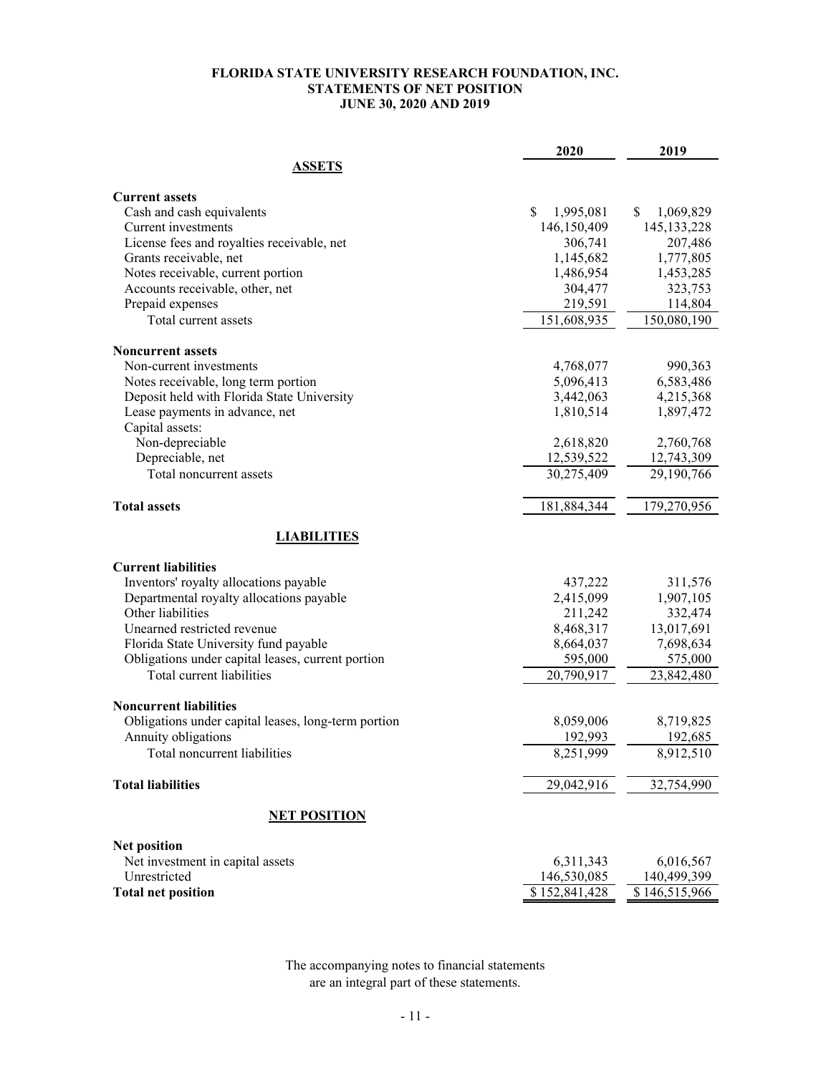#### **FLORIDA STATE UNIVERSITY RESEARCH FOUNDATION, INC. STATEMENTS OF NET POSITION JUNE 30, 2020 AND 2019**

|                                                     | 2020                   | 2019           |
|-----------------------------------------------------|------------------------|----------------|
| <u>ASSETS</u>                                       |                        |                |
| <b>Current assets</b>                               |                        |                |
| Cash and cash equivalents                           | \$<br>1,995,081        | 1,069,829<br>S |
| Current investments                                 | 146,150,409            | 145, 133, 228  |
| License fees and royalties receivable, net          | 306,741                | 207,486        |
| Grants receivable, net                              | 1,145,682              | 1,777,805      |
| Notes receivable, current portion                   | 1,486,954              | 1,453,285      |
| Accounts receivable, other, net                     | 304,477                | 323,753        |
| Prepaid expenses                                    | 219,591                | 114,804        |
| Total current assets                                | 151,608,935            | 150,080,190    |
| <b>Noncurrent assets</b>                            |                        |                |
| Non-current investments                             | 4,768,077              | 990,363        |
| Notes receivable, long term portion                 | 5,096,413              | 6,583,486      |
| Deposit held with Florida State University          | 3,442,063              | 4,215,368      |
| Lease payments in advance, net                      | 1,810,514              | 1,897,472      |
| Capital assets:                                     |                        |                |
| Non-depreciable                                     | 2,618,820              | 2,760,768      |
| Depreciable, net                                    | 12,539,522             | 12,743,309     |
| Total noncurrent assets                             | 30,275,409             | 29,190,766     |
| <b>Total assets</b>                                 | 181,884,344            | 179,270,956    |
| <b>LIABILITIES</b>                                  |                        |                |
|                                                     |                        |                |
| <b>Current liabilities</b>                          |                        |                |
| Inventors' royalty allocations payable              | 437,222                | 311,576        |
| Departmental royalty allocations payable            | 2,415,099              | 1,907,105      |
| Other liabilities                                   | 211,242                | 332,474        |
| Unearned restricted revenue                         | 8,468,317              | 13,017,691     |
| Florida State University fund payable               | 8,664,037              | 7,698,634      |
| Obligations under capital leases, current portion   | 595,000                | 575,000        |
| Total current liabilities                           | 20,790,917             | 23,842,480     |
| <b>Noncurrent liabilities</b>                       |                        |                |
| Obligations under capital leases, long-term portion | 8,059,006              | 8,719,825      |
| Annuity obligations                                 | 192,993                | 192,685        |
| Total noncurrent liabilities                        | $\overline{8,}251,999$ | 8,912,510      |
| <b>Total liabilities</b>                            | 29,042,916             | 32,754,990     |
| <b>NET POSITION</b>                                 |                        |                |
| Net position                                        |                        |                |
| Net investment in capital assets                    | 6,311,343              | 6,016,567      |
| Unrestricted                                        | 146,530,085            | 140,499,399    |
| <b>Total net position</b>                           | \$152,841,428          | \$146,515,966  |

The accompanying notes to financial statements are an integral part of these statements.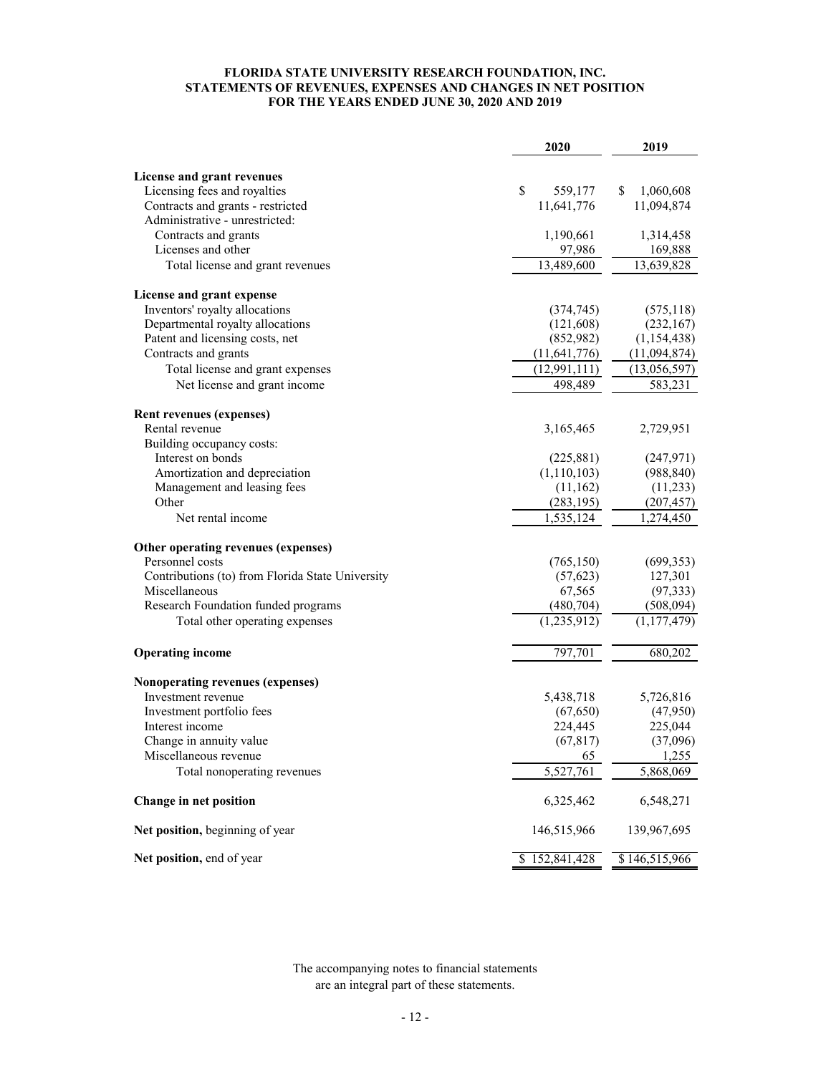#### **FLORIDA STATE UNIVERSITY RESEARCH FOUNDATION, INC. STATEMENTS OF REVENUES, EXPENSES AND CHANGES IN NET POSITION FOR THE YEARS ENDED JUNE 30, 2020 AND 2019**

|                                                            | 2020           | 2019            |
|------------------------------------------------------------|----------------|-----------------|
|                                                            |                |                 |
| License and grant revenues<br>Licensing fees and royalties | \$<br>559,177  | \$<br>1,060,608 |
| Contracts and grants - restricted                          | 11,641,776     | 11,094,874      |
| Administrative - unrestricted:                             |                |                 |
| Contracts and grants                                       | 1,190,661      | 1,314,458       |
| Licenses and other                                         | 97,986         | 169,888         |
| Total license and grant revenues                           | 13,489,600     | 13,639,828      |
|                                                            |                |                 |
| License and grant expense                                  |                |                 |
| Inventors' royalty allocations                             | (374, 745)     | (575, 118)      |
| Departmental royalty allocations                           | (121, 608)     | (232, 167)      |
| Patent and licensing costs, net                            | (852,982)      | (1,154,438)     |
| Contracts and grants                                       | (11, 641, 776) | (11,094,874)    |
| Total license and grant expenses                           | (12,991,111)   | (13,056,597)    |
| Net license and grant income                               | 498,489        | 583,231         |
| Rent revenues (expenses)                                   |                |                 |
| Rental revenue                                             | 3,165,465      | 2,729,951       |
| Building occupancy costs:                                  |                |                 |
| Interest on bonds                                          | (225, 881)     | (247, 971)      |
| Amortization and depreciation                              | (1,110,103)    | (988, 840)      |
| Management and leasing fees                                | (11, 162)      | (11, 233)       |
| Other                                                      | (283, 195)     | (207, 457)      |
| Net rental income                                          | 1,535,124      | 1,274,450       |
| Other operating revenues (expenses)                        |                |                 |
| Personnel costs                                            | (765, 150)     | (699, 353)      |
| Contributions (to) from Florida State University           | (57, 623)      | 127,301         |
| Miscellaneous                                              | 67,565         | (97, 333)       |
| Research Foundation funded programs                        | (480, 704)     | (508,094)       |
| Total other operating expenses                             | (1,235,912)    | (1, 177, 479)   |
|                                                            |                |                 |
| <b>Operating income</b>                                    | 797,701        | 680,202         |
| Nonoperating revenues (expenses)                           |                |                 |
| Investment revenue                                         | 5,438,718      | 5,726,816       |
| Investment portfolio fees                                  | (67, 650)      | (47,950)        |
| Interest income                                            | 224,445        | 225,044         |
| Change in annuity value                                    | (67, 817)      | (37,096)        |
| Miscellaneous revenue                                      | 65             | 1,255           |
| Total nonoperating revenues                                | 5,527,761      | 5,868,069       |
| Change in net position                                     | 6,325,462      | 6,548,271       |
| Net position, beginning of year                            | 146,515,966    | 139,967,695     |
| Net position, end of year                                  | \$152,841,428  | \$146,515,966   |

The accompanying notes to financial statements are an integral part of these statements.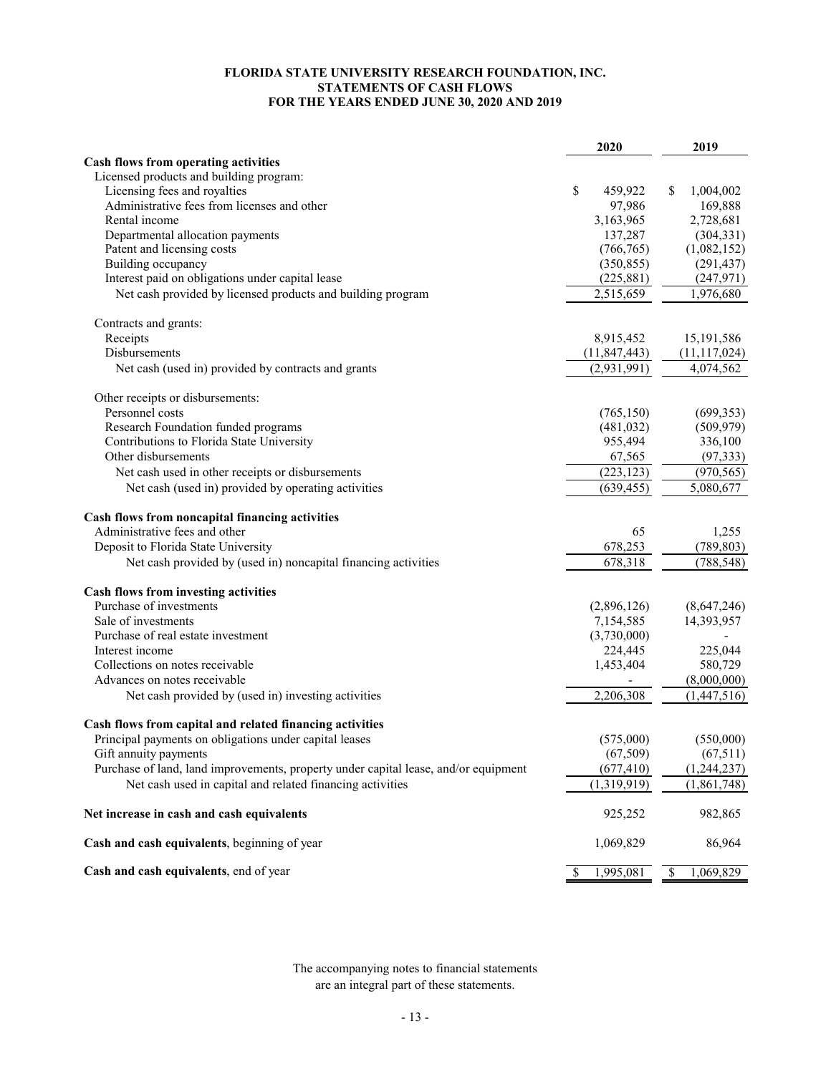#### **FLORIDA STATE UNIVERSITY RESEARCH FOUNDATION, INC. STATEMENTS OF CASH FLOWS FOR THE YEARS ENDED JUNE 30, 2020 AND 2019**

|                                                                                     | 2020            | 2019              |
|-------------------------------------------------------------------------------------|-----------------|-------------------|
| Cash flows from operating activities                                                |                 |                   |
| Licensed products and building program:                                             |                 |                   |
| Licensing fees and royalties                                                        | \$<br>459,922   | \$<br>1,004,002   |
| Administrative fees from licenses and other                                         | 97,986          | 169,888           |
| Rental income                                                                       | 3,163,965       | 2,728,681         |
| Departmental allocation payments                                                    | 137,287         | (304, 331)        |
| Patent and licensing costs                                                          | (766, 765)      | (1,082,152)       |
| Building occupancy                                                                  | (350, 855)      | (291, 437)        |
| Interest paid on obligations under capital lease                                    | (225, 881)      | (247, 971)        |
| Net cash provided by licensed products and building program                         | 2,515,659       | 1,976,680         |
| Contracts and grants:                                                               |                 |                   |
| Receipts                                                                            | 8,915,452       | 15,191,586        |
| Disbursements                                                                       | (11, 847, 443)  | (11, 117, 024)    |
| Net cash (used in) provided by contracts and grants                                 | (2,931,991)     | 4,074,562         |
| Other receipts or disbursements:                                                    |                 |                   |
| Personnel costs                                                                     | (765, 150)      | (699, 353)        |
| Research Foundation funded programs                                                 | (481, 032)      | (509, 979)        |
| Contributions to Florida State University                                           | 955,494         | 336,100           |
| Other disbursements                                                                 | 67,565          | (97, 333)         |
| Net cash used in other receipts or disbursements                                    | (223, 123)      | (970, 565)        |
| Net cash (used in) provided by operating activities                                 | (639, 455)      | 5,080,677         |
| Cash flows from noncapital financing activities                                     |                 |                   |
| Administrative fees and other                                                       | 65              | 1,255             |
| Deposit to Florida State University                                                 | 678,253         | (789, 803)        |
| Net cash provided by (used in) noncapital financing activities                      | 678,318         | (788, 548)        |
| Cash flows from investing activities                                                |                 |                   |
| Purchase of investments                                                             | (2,896,126)     | (8,647,246)       |
| Sale of investments                                                                 | 7,154,585       | 14,393,957        |
| Purchase of real estate investment                                                  | (3,730,000)     |                   |
| Interest income                                                                     | 224,445         | 225,044           |
| Collections on notes receivable                                                     | 1,453,404       | 580,729           |
| Advances on notes receivable                                                        |                 | (8,000,000)       |
| Net cash provided by (used in) investing activities                                 | 2,206,308       | (1,447,516)       |
| Cash flows from capital and related financing activities                            |                 |                   |
| Principal payments on obligations under capital leases                              | (575,000)       | (550,000)         |
| Gift annuity payments                                                               | (67, 509)       | (67,511)          |
| Purchase of land, land improvements, property under capital lease, and/or equipment | (677, 410)      | (1,244,237)       |
| Net cash used in capital and related financing activities                           | (1,319,919)     | (1,861,748)       |
| Net increase in cash and cash equivalents                                           | 925,252         | 982,865           |
| Cash and cash equivalents, beginning of year                                        | 1,069,829       | 86,964            |
| Cash and cash equivalents, end of year                                              | 1,995,081<br>-S | $\$$<br>1,069,829 |

The accompanying notes to financial statements are an integral part of these statements.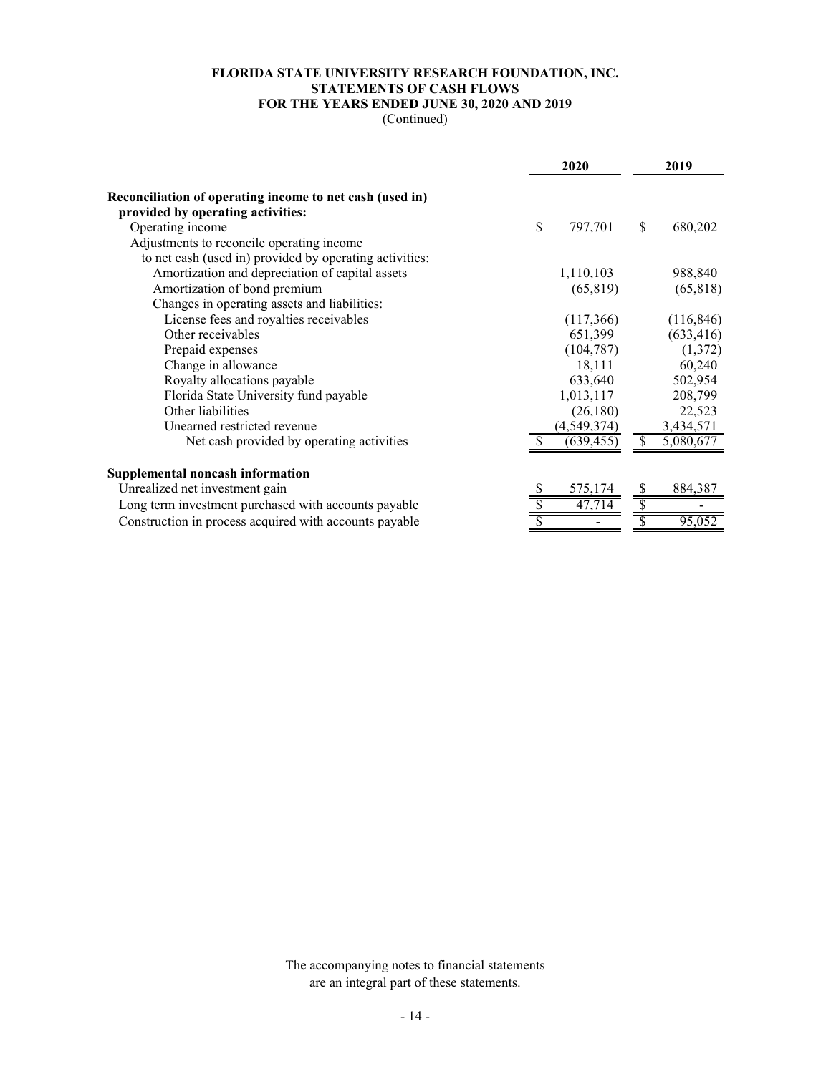## **FLORIDA STATE UNIVERSITY RESEARCH FOUNDATION, INC. STATEMENTS OF CASH FLOWS FOR THE YEARS ENDED JUNE 30, 2020 AND 2019**

(Continued)

|                                                                                               | 2020          | 2019                       |
|-----------------------------------------------------------------------------------------------|---------------|----------------------------|
| Reconciliation of operating income to net cash (used in)<br>provided by operating activities: |               |                            |
| Operating income                                                                              | \$<br>797,701 | 680,202<br><sup>\$</sup>   |
| Adjustments to reconcile operating income                                                     |               |                            |
| to net cash (used in) provided by operating activities:                                       |               |                            |
| Amortization and depreciation of capital assets                                               | 1,110,103     | 988,840                    |
| Amortization of bond premium                                                                  | (65, 819)     | (65, 818)                  |
| Changes in operating assets and liabilities:                                                  |               |                            |
| License fees and royalties receivables                                                        | (117,366)     | (116, 846)                 |
| Other receivables                                                                             | 651,399       | (633, 416)                 |
| Prepaid expenses                                                                              | (104, 787)    | (1,372)                    |
| Change in allowance                                                                           | 18,111        | 60,240                     |
| Royalty allocations payable                                                                   | 633,640       | 502,954                    |
| Florida State University fund payable                                                         | 1,013,117     | 208,799                    |
| Other liabilities                                                                             | (26, 180)     | 22,523                     |
| Unearned restricted revenue                                                                   | (4, 549, 374) | 3,434,571                  |
| Net cash provided by operating activities                                                     | (639,455)     | <sup>\$</sup><br>5,080,677 |
| Supplemental noncash information                                                              |               |                            |
| Unrealized net investment gain                                                                | 575,174       | 884,387                    |
| Long term investment purchased with accounts payable                                          | 47,714        | \$                         |
| Construction in process acquired with accounts payable                                        |               | 95,052                     |

The accompanying notes to financial statements are an integral part of these statements.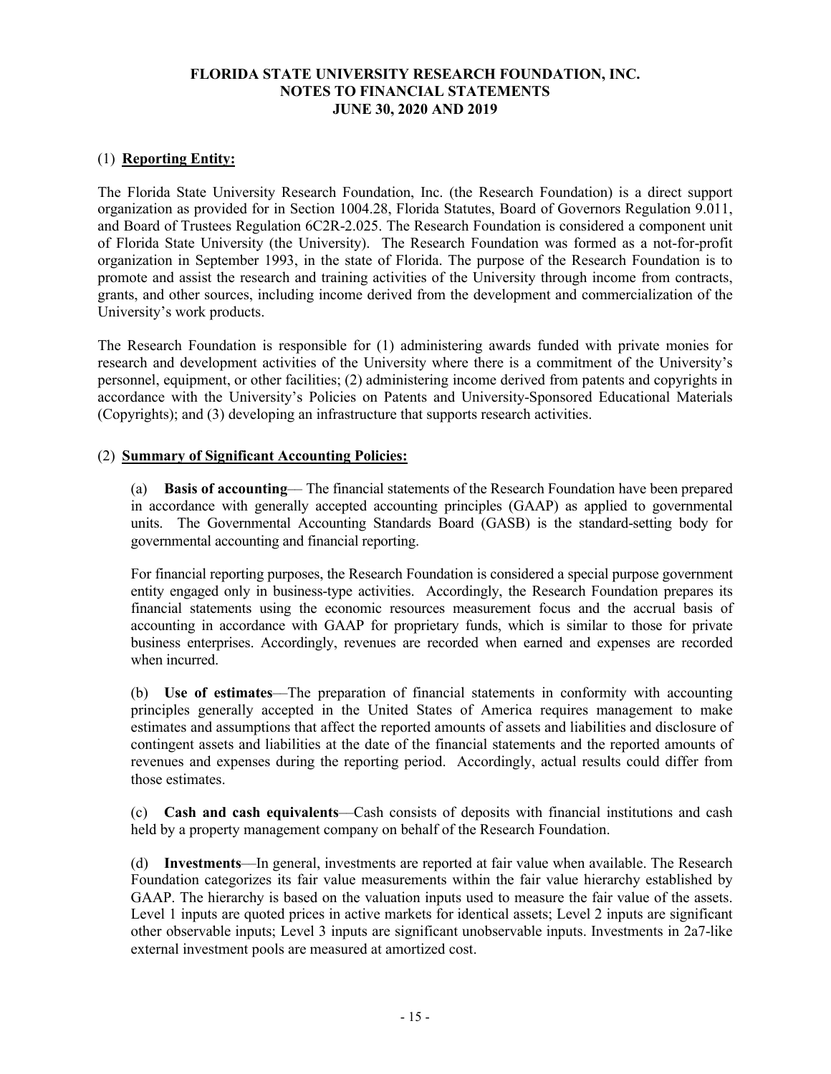# (1) **Reporting Entity:**

The Florida State University Research Foundation, Inc. (the Research Foundation) is a direct support organization as provided for in Section 1004.28, Florida Statutes, Board of Governors Regulation 9.011, and Board of Trustees Regulation 6C2R-2.025. The Research Foundation is considered a component unit of Florida State University (the University). The Research Foundation was formed as a not-for-profit organization in September 1993, in the state of Florida. The purpose of the Research Foundation is to promote and assist the research and training activities of the University through income from contracts, grants, and other sources, including income derived from the development and commercialization of the University's work products.

The Research Foundation is responsible for (1) administering awards funded with private monies for research and development activities of the University where there is a commitment of the University's personnel, equipment, or other facilities; (2) administering income derived from patents and copyrights in accordance with the University's Policies on Patents and University-Sponsored Educational Materials (Copyrights); and (3) developing an infrastructure that supports research activities.

## (2) **Summary of Significant Accounting Policies:**

(a) **Basis of accounting**–– The financial statements of the Research Foundation have been prepared in accordance with generally accepted accounting principles (GAAP) as applied to governmental units. The Governmental Accounting Standards Board (GASB) is the standard-setting body for governmental accounting and financial reporting.

For financial reporting purposes, the Research Foundation is considered a special purpose government entity engaged only in business-type activities. Accordingly, the Research Foundation prepares its financial statements using the economic resources measurement focus and the accrual basis of accounting in accordance with GAAP for proprietary funds, which is similar to those for private business enterprises. Accordingly, revenues are recorded when earned and expenses are recorded when incurred.

(b) **Use of estimates**––The preparation of financial statements in conformity with accounting principles generally accepted in the United States of America requires management to make estimates and assumptions that affect the reported amounts of assets and liabilities and disclosure of contingent assets and liabilities at the date of the financial statements and the reported amounts of revenues and expenses during the reporting period. Accordingly, actual results could differ from those estimates.

(c) **Cash and cash equivalents**––Cash consists of deposits with financial institutions and cash held by a property management company on behalf of the Research Foundation.

(d) **Investments**––In general, investments are reported at fair value when available. The Research Foundation categorizes its fair value measurements within the fair value hierarchy established by GAAP. The hierarchy is based on the valuation inputs used to measure the fair value of the assets. Level 1 inputs are quoted prices in active markets for identical assets; Level 2 inputs are significant other observable inputs; Level 3 inputs are significant unobservable inputs. Investments in 2a7-like external investment pools are measured at amortized cost.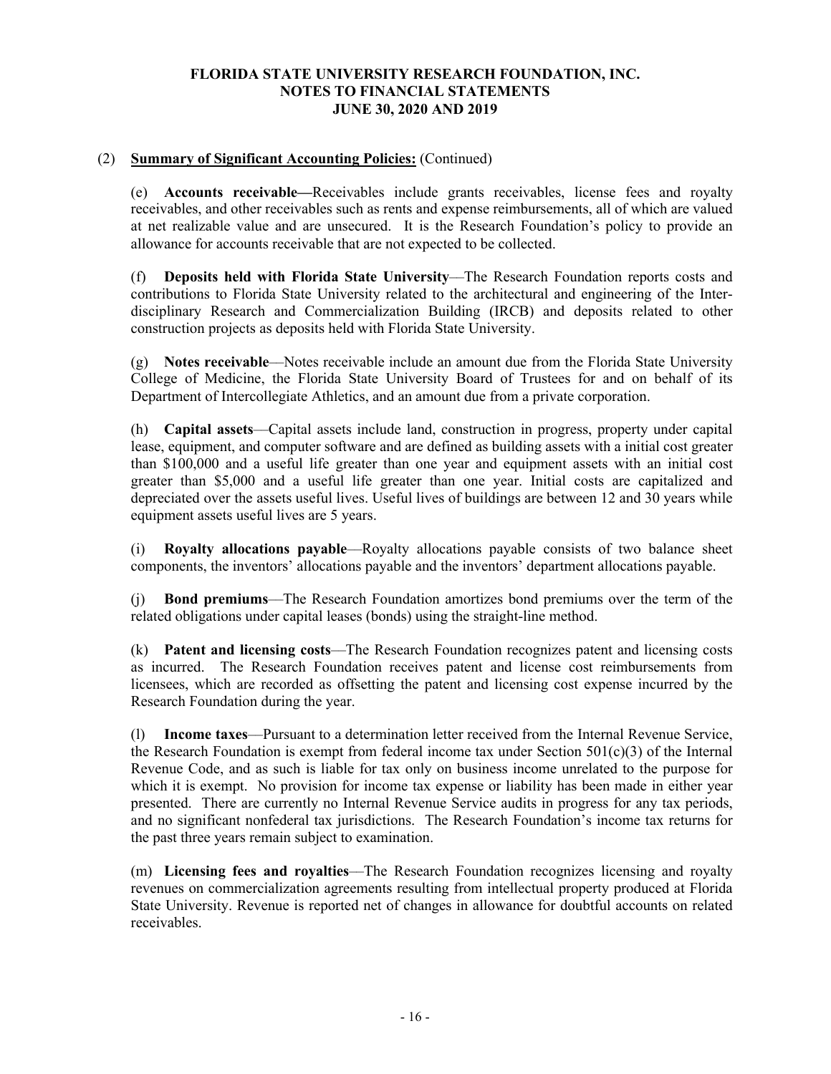### (2) **Summary of Significant Accounting Policies:** (Continued)

(e) **Accounts receivable––**Receivables include grants receivables, license fees and royalty receivables, and other receivables such as rents and expense reimbursements, all of which are valued at net realizable value and are unsecured. It is the Research Foundation's policy to provide an allowance for accounts receivable that are not expected to be collected.

(f) **Deposits held with Florida State University**––The Research Foundation reports costs and contributions to Florida State University related to the architectural and engineering of the Interdisciplinary Research and Commercialization Building (IRCB) and deposits related to other construction projects as deposits held with Florida State University.

(g) **Notes receivable**––Notes receivable include an amount due from the Florida State University College of Medicine, the Florida State University Board of Trustees for and on behalf of its Department of Intercollegiate Athletics, and an amount due from a private corporation.

(h) **Capital assets**––Capital assets include land, construction in progress, property under capital lease, equipment, and computer software and are defined as building assets with a initial cost greater than \$100,000 and a useful life greater than one year and equipment assets with an initial cost greater than \$5,000 and a useful life greater than one year. Initial costs are capitalized and depreciated over the assets useful lives. Useful lives of buildings are between 12 and 30 years while equipment assets useful lives are 5 years.

(i) **Royalty allocations payable**––Royalty allocations payable consists of two balance sheet components, the inventors' allocations payable and the inventors' department allocations payable.

(j) **Bond premiums**––The Research Foundation amortizes bond premiums over the term of the related obligations under capital leases (bonds) using the straight-line method.

(k) **Patent and licensing costs**––The Research Foundation recognizes patent and licensing costs as incurred. The Research Foundation receives patent and license cost reimbursements from licensees, which are recorded as offsetting the patent and licensing cost expense incurred by the Research Foundation during the year.

(l) **Income taxes**––Pursuant to a determination letter received from the Internal Revenue Service, the Research Foundation is exempt from federal income tax under Section  $501(c)(3)$  of the Internal Revenue Code, and as such is liable for tax only on business income unrelated to the purpose for which it is exempt. No provision for income tax expense or liability has been made in either year presented. There are currently no Internal Revenue Service audits in progress for any tax periods, and no significant nonfederal tax jurisdictions. The Research Foundation's income tax returns for the past three years remain subject to examination.

(m) **Licensing fees and royalties**––The Research Foundation recognizes licensing and royalty revenues on commercialization agreements resulting from intellectual property produced at Florida State University. Revenue is reported net of changes in allowance for doubtful accounts on related receivables.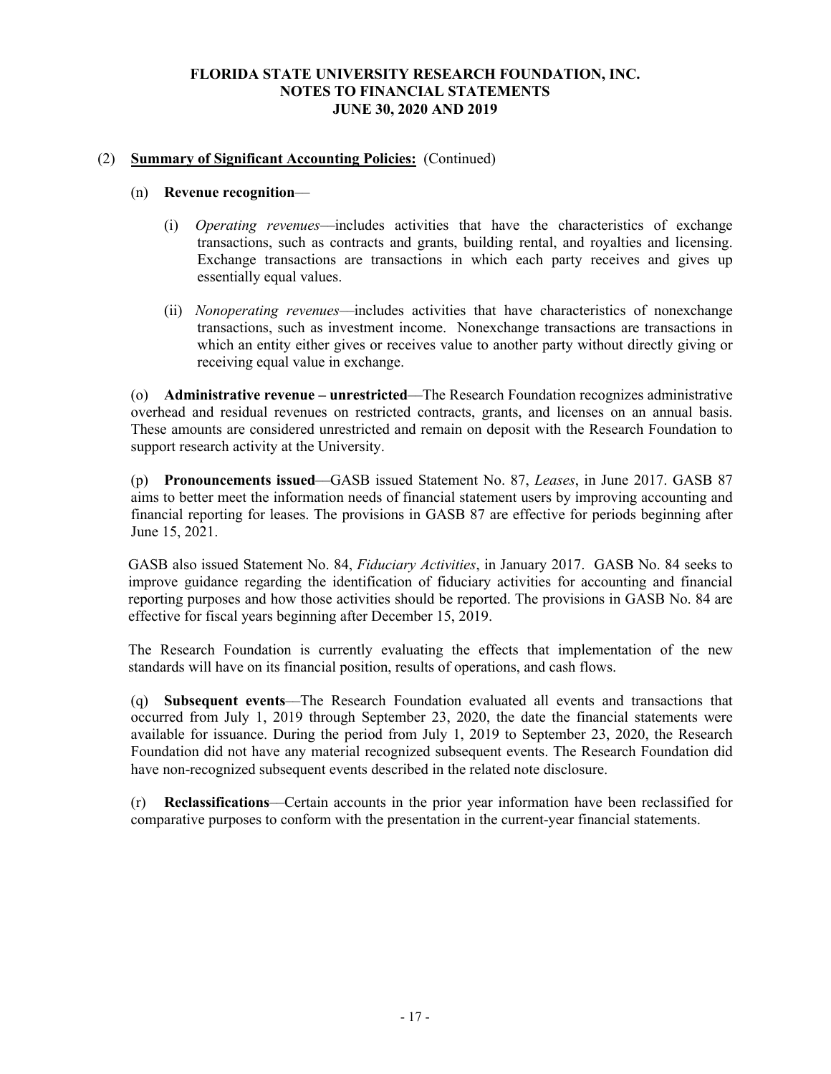### (2) **Summary of Significant Accounting Policies:** (Continued)

### (n) **Revenue recognition**––

- (i) *Operating revenues*––includes activities that have the characteristics of exchange transactions, such as contracts and grants, building rental, and royalties and licensing. Exchange transactions are transactions in which each party receives and gives up essentially equal values.
- (ii) *Nonoperating revenues*––includes activities that have characteristics of nonexchange transactions, such as investment income. Nonexchange transactions are transactions in which an entity either gives or receives value to another party without directly giving or receiving equal value in exchange.

(o) **Administrative revenue – unrestricted**––The Research Foundation recognizes administrative overhead and residual revenues on restricted contracts, grants, and licenses on an annual basis. These amounts are considered unrestricted and remain on deposit with the Research Foundation to support research activity at the University.

(p) **Pronouncements issued**––GASB issued Statement No. 87, *Leases*, in June 2017. GASB 87 aims to better meet the information needs of financial statement users by improving accounting and financial reporting for leases. The provisions in GASB 87 are effective for periods beginning after June 15, 2021.

GASB also issued Statement No. 84, *Fiduciary Activities*, in January 2017. GASB No. 84 seeks to improve guidance regarding the identification of fiduciary activities for accounting and financial reporting purposes and how those activities should be reported. The provisions in GASB No. 84 are effective for fiscal years beginning after December 15, 2019.

The Research Foundation is currently evaluating the effects that implementation of the new standards will have on its financial position, results of operations, and cash flows.

(q) **Subsequent events**––The Research Foundation evaluated all events and transactions that occurred from July 1, 2019 through September 23, 2020, the date the financial statements were available for issuance. During the period from July 1, 2019 to September 23, 2020, the Research Foundation did not have any material recognized subsequent events. The Research Foundation did have non-recognized subsequent events described in the related note disclosure.

(r) **Reclassifications**––Certain accounts in the prior year information have been reclassified for comparative purposes to conform with the presentation in the current-year financial statements.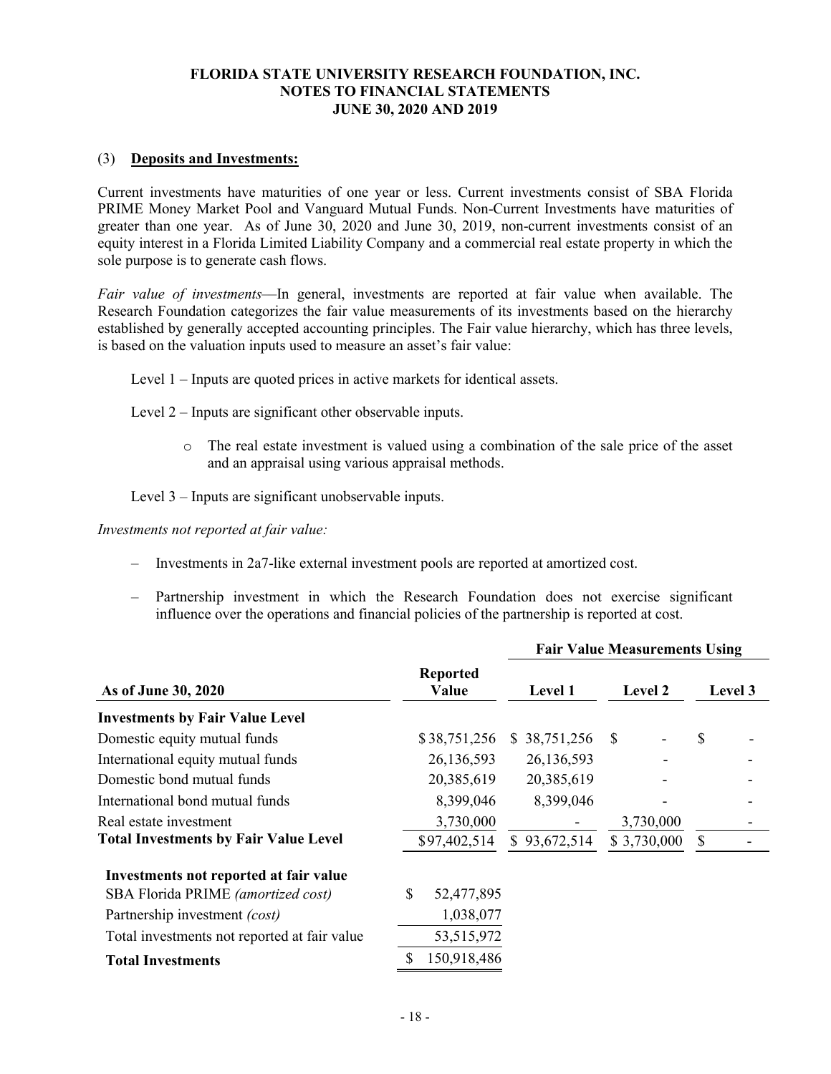### (3) **Deposits and Investments:**

Current investments have maturities of one year or less. Current investments consist of SBA Florida PRIME Money Market Pool and Vanguard Mutual Funds. Non-Current Investments have maturities of greater than one year. As of June 30, 2020 and June 30, 2019, non-current investments consist of an equity interest in a Florida Limited Liability Company and a commercial real estate property in which the sole purpose is to generate cash flows.

*Fair value of investments*––In general, investments are reported at fair value when available. The Research Foundation categorizes the fair value measurements of its investments based on the hierarchy established by generally accepted accounting principles. The Fair value hierarchy, which has three levels, is based on the valuation inputs used to measure an asset's fair value:

Level 1 – Inputs are quoted prices in active markets for identical assets.

Level 2 – Inputs are significant other observable inputs.

o The real estate investment is valued using a combination of the sale price of the asset and an appraisal using various appraisal methods.

Level 3 – Inputs are significant unobservable inputs.

*Investments not reported at fair value:*

- Investments in 2a7-like external investment pools are reported at amortized cost.
- Partnership investment in which the Research Foundation does not exercise significant influence over the operations and financial policies of the partnership is reported at cost.

|                                              |    |                          |                |              | <b>Fair Value Measurements Using</b> |             |              |  |  |
|----------------------------------------------|----|--------------------------|----------------|--------------|--------------------------------------|-------------|--------------|--|--|
| As of June 30, 2020                          |    | <b>Reported</b><br>Value | <b>Level 1</b> |              | <b>Level 2</b>                       |             | Level 3      |  |  |
| <b>Investments by Fair Value Level</b>       |    |                          |                |              |                                      |             |              |  |  |
| Domestic equity mutual funds                 |    | \$38,751,256             |                | \$38,751,256 | - S                                  |             | \$           |  |  |
| International equity mutual funds            |    | 26,136,593               |                | 26,136,593   |                                      |             |              |  |  |
| Domestic bond mutual funds                   |    | 20,385,619               |                | 20,385,619   |                                      |             |              |  |  |
| International bond mutual funds              |    | 8,399,046                |                | 8,399,046    |                                      |             |              |  |  |
| Real estate investment                       |    | 3,730,000                |                |              |                                      | 3,730,000   |              |  |  |
| <b>Total Investments by Fair Value Level</b> |    | \$97,402,514             |                | \$93,672,514 |                                      | \$3,730,000 | $\mathbb{S}$ |  |  |
| Investments not reported at fair value       |    |                          |                |              |                                      |             |              |  |  |
| SBA Florida PRIME (amortized cost)           | \$ | 52,477,895               |                |              |                                      |             |              |  |  |
| Partnership investment (cost)                |    | 1,038,077                |                |              |                                      |             |              |  |  |
| Total investments not reported at fair value |    | 53,515,972               |                |              |                                      |             |              |  |  |
| <b>Total Investments</b>                     |    | 150,918,486              |                |              |                                      |             |              |  |  |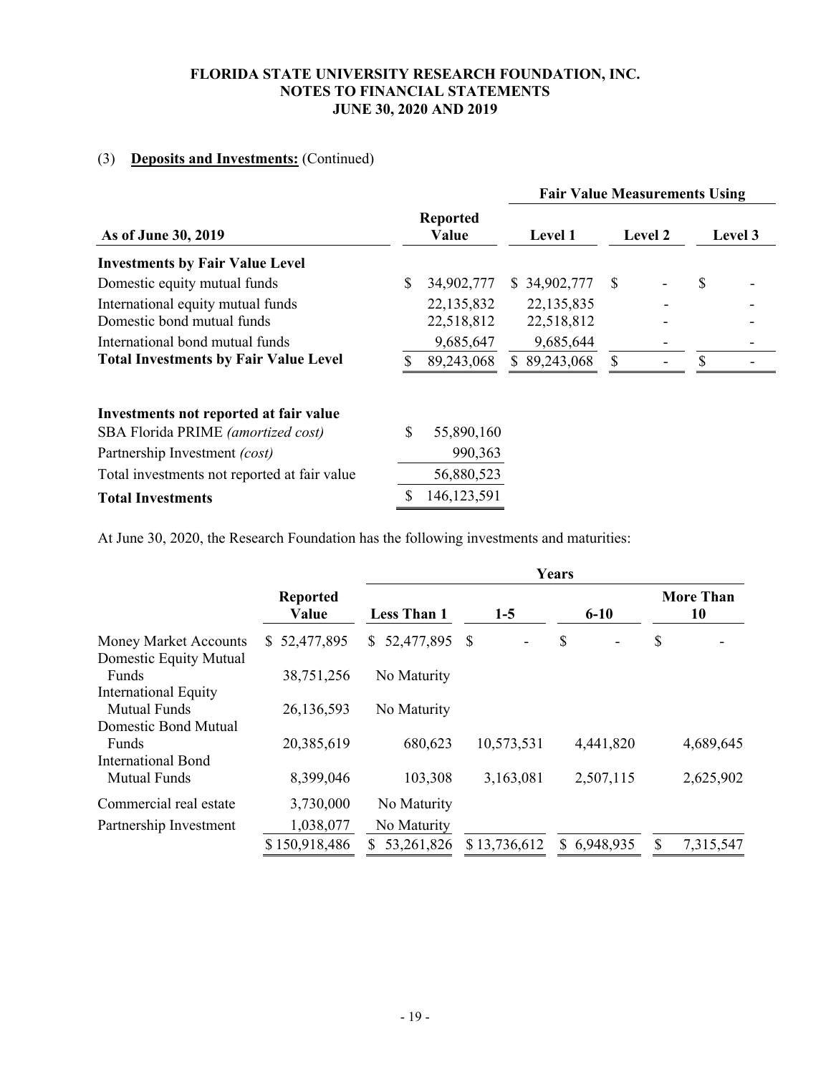# (3) **Deposits and Investments:** (Continued)

|                                                                 |    |                          | <b>Fair Value Measurements Using</b> |                |  |         |  |
|-----------------------------------------------------------------|----|--------------------------|--------------------------------------|----------------|--|---------|--|
| As of June 30, 2019                                             |    | <b>Reported</b><br>Value | <b>Level 1</b>                       | <b>Level 2</b> |  | Level 3 |  |
| <b>Investments by Fair Value Level</b>                          |    |                          |                                      |                |  |         |  |
| Domestic equity mutual funds                                    | \$ | 34,902,777               | \$34,902,777                         | <sup>\$</sup>  |  | \$      |  |
| International equity mutual funds<br>Domestic bond mutual funds |    | 22,135,832<br>22,518,812 | 22,135,835<br>22,518,812             |                |  |         |  |
| International bond mutual funds                                 |    | 9,685,647                | 9,685,644                            |                |  |         |  |
| <b>Total Investments by Fair Value Level</b>                    |    | 89,243,068               | \$89,243,068                         |                |  | \$      |  |
| Investments not reported at fair value                          |    |                          |                                      |                |  |         |  |
| SBA Florida PRIME (amortized cost)                              | \$ | 55,890,160               |                                      |                |  |         |  |
| Partnership Investment (cost)                                   |    | 990,363                  |                                      |                |  |         |  |
| Total investments not reported at fair value                    |    | 56,880,523               |                                      |                |  |         |  |
| <b>Total Investments</b>                                        | \$ | 146,123,591              |                                      |                |  |         |  |

At June 30, 2020, the Research Foundation has the following investments and maturities:

|                                                  |                          | Years                                   |              |                           |    |                        |  |  |  |  |  |
|--------------------------------------------------|--------------------------|-----------------------------------------|--------------|---------------------------|----|------------------------|--|--|--|--|--|
|                                                  | <b>Reported</b><br>Value | <b>Less Than 1</b><br>$6 - 10$<br>$1-5$ |              |                           |    | <b>More Than</b><br>10 |  |  |  |  |  |
| Money Market Accounts<br>Domestic Equity Mutual  | \$52,477,895             | $$52,477,895$ \;                        |              | \$                        | \$ |                        |  |  |  |  |  |
| <b>Funds</b><br><b>International Equity</b>      | 38,751,256               | No Maturity                             |              |                           |    |                        |  |  |  |  |  |
| <b>Mutual Funds</b><br>Domestic Bond Mutual      | 26,136,593               | No Maturity                             |              |                           |    |                        |  |  |  |  |  |
| Funds                                            | 20,385,619               | 680,623                                 | 10,573,531   | 4,441,820                 |    | 4,689,645              |  |  |  |  |  |
| <b>International Bond</b><br><b>Mutual Funds</b> | 8,399,046                | 103,308                                 | 3,163,081    | 2,507,115                 |    | 2,625,902              |  |  |  |  |  |
| Commercial real estate                           | 3,730,000                | No Maturity                             |              |                           |    |                        |  |  |  |  |  |
| Partnership Investment                           | 1,038,077                | No Maturity                             |              |                           |    |                        |  |  |  |  |  |
|                                                  | \$150,918,486            | 53,261,826                              | \$13,736,612 | 6,948,935<br><sup>S</sup> | S  | 7,315,547              |  |  |  |  |  |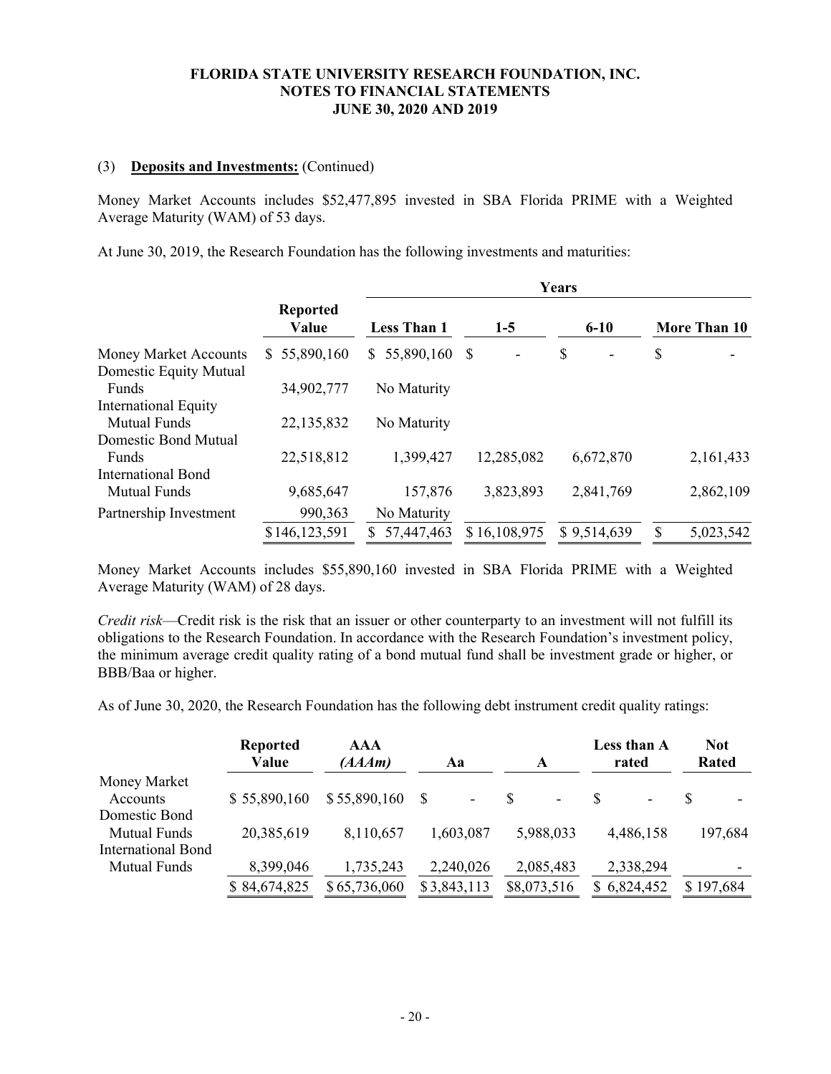#### (3) **Deposits and Investments:** (Continued)

Money Market Accounts includes \$52,477,895 invested in SBA Florida PRIME with a Weighted Average Maturity (WAM) of 53 days.

At June 30, 2019, the Research Foundation has the following investments and maturities:

|                                                        |                          | Years                        |              |             |              |           |  |  |  |  |
|--------------------------------------------------------|--------------------------|------------------------------|--------------|-------------|--------------|-----------|--|--|--|--|
|                                                        | <b>Reported</b><br>Value | <b>Less Than 1</b>           | $1-5$        | $6 - 10$    | More Than 10 |           |  |  |  |  |
| <b>Money Market Accounts</b><br>Domestic Equity Mutual | \$55,890,160             | 55,890,160<br>$\mathbb{S}^-$ | -S           | \$          | \$           |           |  |  |  |  |
| Funds                                                  | 34,902,777               | No Maturity                  |              |             |              |           |  |  |  |  |
| <b>International Equity</b><br><b>Mutual Funds</b>     | 22,135,832               | No Maturity                  |              |             |              |           |  |  |  |  |
| Domestic Bond Mutual<br><b>Funds</b>                   | 22,518,812               | 1,399,427                    | 12,285,082   | 6,672,870   |              | 2,161,433 |  |  |  |  |
| <b>International Bond</b>                              |                          |                              |              |             |              |           |  |  |  |  |
| <b>Mutual Funds</b>                                    | 9,685,647                | 157,876                      | 3,823,893    | 2,841,769   |              | 2,862,109 |  |  |  |  |
| Partnership Investment                                 | 990,363                  | No Maturity                  |              |             |              |           |  |  |  |  |
|                                                        | \$146,123,591            | 57,447,463<br>S.             | \$16,108,975 | \$9,514,639 | \$           | 5,023,542 |  |  |  |  |

Money Market Accounts includes \$55,890,160 invested in SBA Florida PRIME with a Weighted Average Maturity (WAM) of 28 days.

*Credit risk*––Credit risk is the risk that an issuer or other counterparty to an investment will not fulfill its obligations to the Research Foundation. In accordance with the Research Foundation's investment policy, the minimum average credit quality rating of a bond mutual fund shall be investment grade or higher, or BBB/Baa or higher.

As of June 30, 2020, the Research Foundation has the following debt instrument credit quality ratings:

|                     | <b>Reported</b><br>Value | AAA<br>(AAAm) | Aa<br>A                  |                | Less than A<br>rated     | <b>Not</b><br><b>Rated</b> |
|---------------------|--------------------------|---------------|--------------------------|----------------|--------------------------|----------------------------|
| Money Market        |                          |               |                          |                |                          |                            |
| Accounts            | \$55,890,160             | \$55,890,160  | $\overline{\phantom{a}}$ | $\overline{a}$ | $\overline{\phantom{a}}$ |                            |
| Domestic Bond       |                          |               |                          |                |                          |                            |
| <b>Mutual Funds</b> | 20,385,619               | 8,110,657     | 1,603,087                | 5,988,033      | 4,486,158                | 197,684                    |
| International Bond  |                          |               |                          |                |                          |                            |
| <b>Mutual Funds</b> | 8,399,046                | 1,735,243     | 2,240,026                | 2,085,483      | 2,338,294                | $\overline{\phantom{0}}$   |
|                     | \$84,674,825             | \$65,736,060  | \$3,843,113              | \$8,073,516    | \$6,824,452              | \$197,684                  |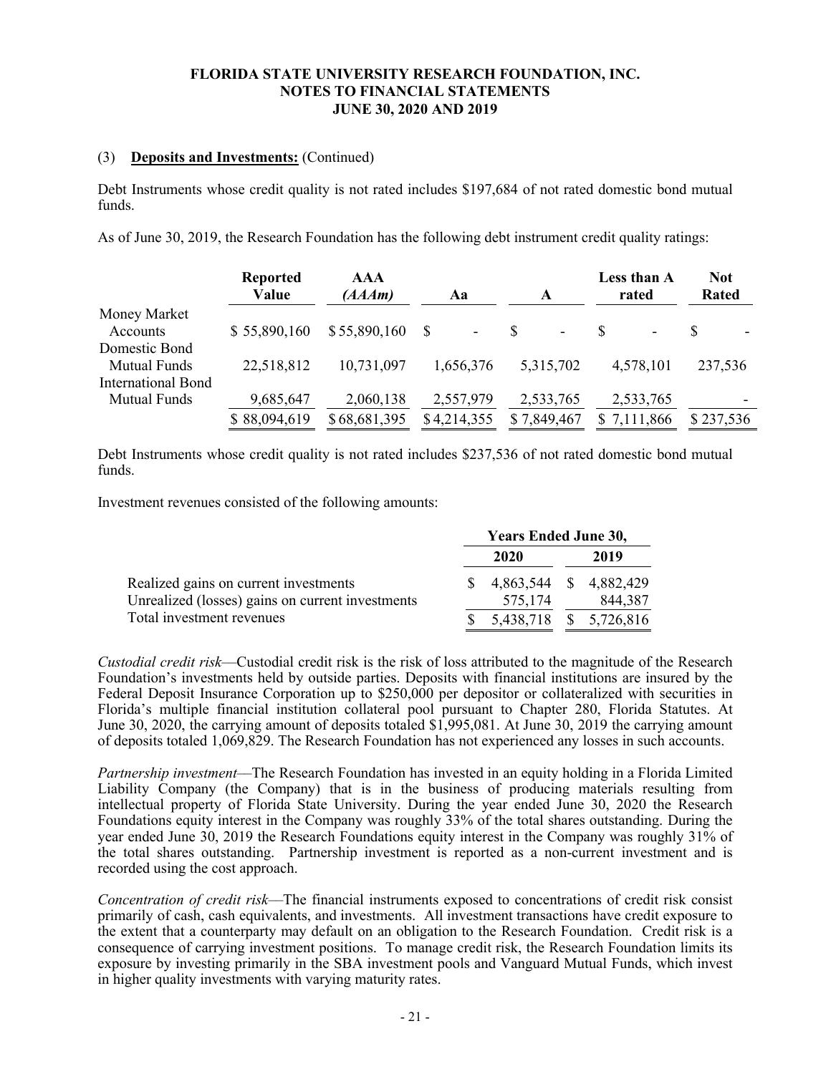### (3) **Deposits and Investments:** (Continued)

Debt Instruments whose credit quality is not rated includes \$197,684 of not rated domestic bond mutual funds.

As of June 30, 2019, the Research Foundation has the following debt instrument credit quality ratings:

|                           | <b>Reported</b><br>Value | <b>AAA</b><br>(AAAm) | Aa                             |             | Less than A<br>rated | <b>Not</b><br><b>Rated</b> |
|---------------------------|--------------------------|----------------------|--------------------------------|-------------|----------------------|----------------------------|
| Money Market              |                          |                      |                                |             |                      |                            |
| Accounts                  | \$55,890,160             | \$55,890,160         | -S<br>$\overline{\phantom{a}}$ | $\sim$      |                      | S                          |
| Domestic Bond             |                          |                      |                                |             |                      |                            |
| <b>Mutual Funds</b>       | 22,518,812               | 10,731,097           | 1,656,376                      | 5,315,702   | 4,578,101            | 237,536                    |
| <b>International Bond</b> |                          |                      |                                |             |                      |                            |
| Mutual Funds              | 9,685,647                | 2,060,138            | 2,557,979                      | 2,533,765   | 2,533,765            |                            |
|                           | \$88,094,619             | \$68,681,395         | \$4,214,355                    | \$7,849,467 | \$7,111,866          | \$237,536                  |

Debt Instruments whose credit quality is not rated includes \$237,536 of not rated domestic bond mutual funds.

Investment revenues consisted of the following amounts:

|                                                  | <b>Years Ended June 30,</b> |                           |  |         |  |
|--------------------------------------------------|-----------------------------|---------------------------|--|---------|--|
|                                                  |                             | 2020                      |  | 2019    |  |
| Realized gains on current investments            |                             | $$4,863,544$ $$4,882,429$ |  |         |  |
| Unrealized (losses) gains on current investments |                             | 575,174                   |  | 844,387 |  |
| Total investment revenues                        |                             | $$5,438,718$ $$5,726,816$ |  |         |  |

*Custodial credit risk*––Custodial credit risk is the risk of loss attributed to the magnitude of the Research Foundation's investments held by outside parties. Deposits with financial institutions are insured by the Federal Deposit Insurance Corporation up to \$250,000 per depositor or collateralized with securities in Florida's multiple financial institution collateral pool pursuant to Chapter 280, Florida Statutes. At June 30, 2020, the carrying amount of deposits totaled \$1,995,081. At June 30, 2019 the carrying amount of deposits totaled 1,069,829. The Research Foundation has not experienced any losses in such accounts.

*Partnership investment*––The Research Foundation has invested in an equity holding in a Florida Limited Liability Company (the Company) that is in the business of producing materials resulting from intellectual property of Florida State University. During the year ended June 30, 2020 the Research Foundations equity interest in the Company was roughly 33% of the total shares outstanding. During the year ended June 30, 2019 the Research Foundations equity interest in the Company was roughly 31% of the total shares outstanding. Partnership investment is reported as a non-current investment and is recorded using the cost approach.

*Concentration of credit risk––*The financial instruments exposed to concentrations of credit risk consist primarily of cash, cash equivalents, and investments. All investment transactions have credit exposure to the extent that a counterparty may default on an obligation to the Research Foundation. Credit risk is a consequence of carrying investment positions. To manage credit risk, the Research Foundation limits its exposure by investing primarily in the SBA investment pools and Vanguard Mutual Funds, which invest in higher quality investments with varying maturity rates.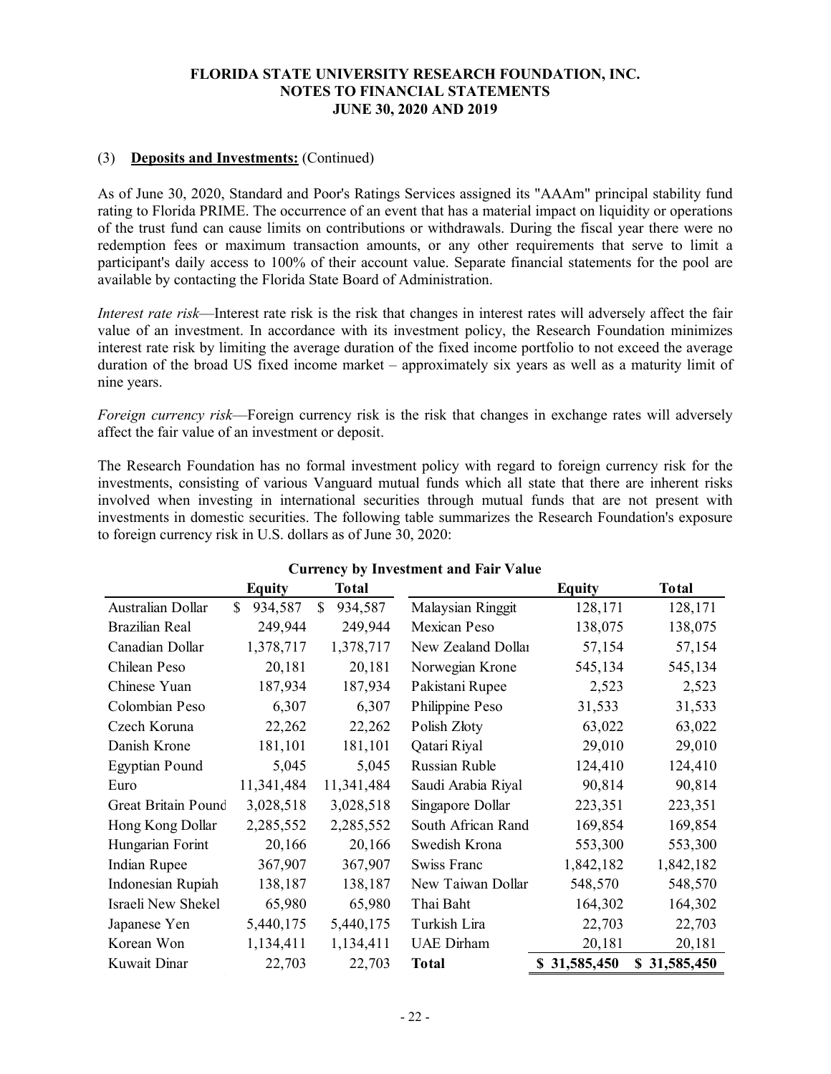## (3) **Deposits and Investments:** (Continued)

As of June 30, 2020, Standard and Poor's Ratings Services assigned its "AAAm" principal stability fund rating to Florida PRIME. The occurrence of an event that has a material impact on liquidity or operations of the trust fund can cause limits on contributions or withdrawals. During the fiscal year there were no redemption fees or maximum transaction amounts, or any other requirements that serve to limit a participant's daily access to 100% of their account value. Separate financial statements for the pool are available by contacting the Florida State Board of Administration.

*Interest rate risk*––Interest rate risk is the risk that changes in interest rates will adversely affect the fair value of an investment. In accordance with its investment policy, the Research Foundation minimizes interest rate risk by limiting the average duration of the fixed income portfolio to not exceed the average duration of the broad US fixed income market – approximately six years as well as a maturity limit of nine years.

*Foreign currency risk*—Foreign currency risk is the risk that changes in exchange rates will adversely affect the fair value of an investment or deposit.

The Research Foundation has no formal investment policy with regard to foreign currency risk for the investments, consisting of various Vanguard mutual funds which all state that there are inherent risks involved when investing in international securities through mutual funds that are not present with investments in domestic securities. The following table summarizes the Research Foundation's exposure to foreign currency risk in U.S. dollars as of June 30, 2020:

|                            | <b>Equity</b> | <b>Total</b>  |                    | <b>Equity</b> | <b>Total</b> |
|----------------------------|---------------|---------------|--------------------|---------------|--------------|
| Australian Dollar          | \$<br>934,587 | \$<br>934,587 | Malaysian Ringgit  | 128,171       | 128,171      |
| <b>Brazilian Real</b>      | 249,944       | 249,944       | Mexican Peso       | 138,075       | 138,075      |
| Canadian Dollar            | 1,378,717     | 1,378,717     | New Zealand Dollar | 57,154        | 57,154       |
| Chilean Peso               | 20,181        | 20,181        | Norwegian Krone    | 545,134       | 545,134      |
| Chinese Yuan               | 187,934       | 187,934       | Pakistani Rupee    | 2,523         | 2,523        |
| Colombian Peso             | 6,307         | 6,307         | Philippine Peso    | 31,533        | 31,533       |
| Czech Koruna               | 22,262        | 22,262        | Polish Złoty       | 63,022        | 63,022       |
| Danish Krone               | 181,101       | 181,101       | Qatari Riyal       | 29,010        | 29,010       |
| <b>Egyptian Pound</b>      | 5,045         | 5,045         | Russian Ruble      | 124,410       | 124,410      |
| Euro                       | 11,341,484    | 11,341,484    | Saudi Arabia Riyal | 90,814        | 90,814       |
| <b>Great Britain Pound</b> | 3,028,518     | 3,028,518     | Singapore Dollar   | 223,351       | 223,351      |
| Hong Kong Dollar           | 2,285,552     | 2,285,552     | South African Rand | 169,854       | 169,854      |
| Hungarian Forint           | 20,166        | 20,166        | Swedish Krona      | 553,300       | 553,300      |
| Indian Rupee               | 367,907       | 367,907       | Swiss Franc        | 1,842,182     | 1,842,182    |
| Indonesian Rupiah          | 138,187       | 138,187       | New Taiwan Dollar  | 548,570       | 548,570      |
| Israeli New Shekel         | 65,980        | 65,980        | Thai Baht          | 164,302       | 164,302      |
| Japanese Yen               | 5,440,175     | 5,440,175     | Turkish Lira       | 22,703        | 22,703       |
| Korean Won                 | 1,134,411     | 1,134,411     | <b>UAE</b> Dirham  | 20,181        | 20,181       |
| Kuwait Dinar               | 22,703        | 22,703        | <b>Total</b>       | \$31,585,450  | \$31,585,450 |

# **Currency by Investment and Fair Value**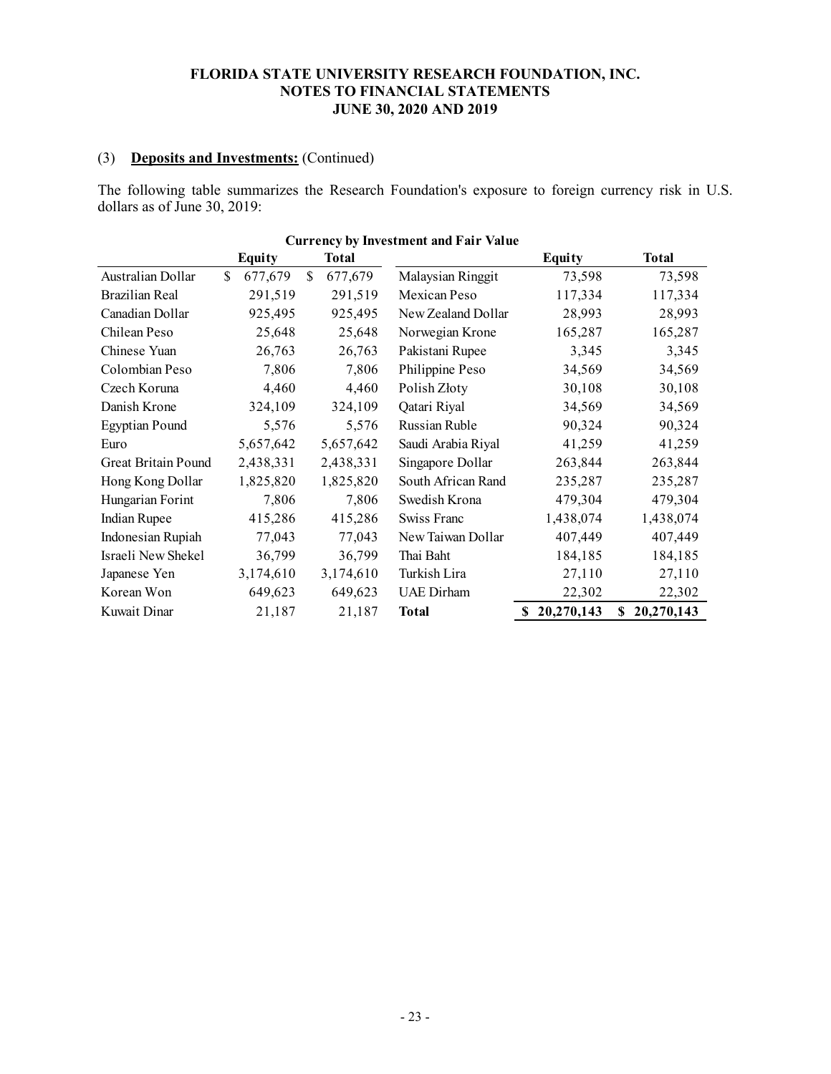# (3) **Deposits and Investments:** (Continued)

The following table summarizes the Research Foundation's exposure to foreign currency risk in U.S. dollars as of June 30, 2019:

|                       | Currency by investment and main various          |           |     |           |                    |  |              |   |            |  |  |
|-----------------------|--------------------------------------------------|-----------|-----|-----------|--------------------|--|--------------|---|------------|--|--|
|                       | Equity<br><b>Total</b><br><b>Equity</b><br>Total |           |     |           |                    |  |              |   |            |  |  |
| Australian Dollar     | \$                                               | 677,679   | \$. | 677,679   | Malaysian Ringgit  |  | 73,598       |   | 73,598     |  |  |
| <b>Brazilian Real</b> |                                                  | 291,519   |     | 291,519   | Mexican Peso       |  | 117,334      |   | 117,334    |  |  |
| Canadian Dollar       |                                                  | 925,495   |     | 925,495   | New Zealand Dollar |  | 28,993       |   | 28,993     |  |  |
| Chilean Peso          |                                                  | 25,648    |     | 25,648    | Norwegian Krone    |  | 165,287      |   | 165,287    |  |  |
| Chinese Yuan          |                                                  | 26,763    |     | 26,763    | Pakistani Rupee    |  | 3,345        |   | 3,345      |  |  |
| Colombian Peso        |                                                  | 7,806     |     | 7,806     | Philippine Peso    |  | 34,569       |   | 34,569     |  |  |
| Czech Koruna          |                                                  | 4,460     |     | 4,460     | Polish Złoty       |  | 30,108       |   | 30,108     |  |  |
| Danish Krone          |                                                  | 324,109   |     | 324,109   | Qatari Riyal       |  | 34,569       |   | 34,569     |  |  |
| <b>Egyptian Pound</b> |                                                  | 5,576     |     | 5,576     | Russian Ruble      |  | 90,324       |   | 90,324     |  |  |
| Euro                  |                                                  | 5,657,642 |     | 5,657,642 | Saudi Arabia Riyal |  | 41,259       |   | 41,259     |  |  |
| Great Britain Pound   |                                                  | 2,438,331 |     | 2,438,331 | Singapore Dollar   |  | 263,844      |   | 263,844    |  |  |
| Hong Kong Dollar      |                                                  | 1,825,820 |     | 1,825,820 | South African Rand |  | 235,287      |   | 235,287    |  |  |
| Hungarian Forint      |                                                  | 7,806     |     | 7,806     | Swedish Krona      |  | 479,304      |   | 479,304    |  |  |
| Indian Rupee          |                                                  | 415,286   |     | 415,286   | Swiss Franc        |  | 1,438,074    |   | 1,438,074  |  |  |
| Indonesian Rupiah     |                                                  | 77,043    |     | 77,043    | New Taiwan Dollar  |  | 407,449      |   | 407,449    |  |  |
| Israeli New Shekel    |                                                  | 36,799    |     | 36,799    | Thai Baht          |  | 184,185      |   | 184,185    |  |  |
| Japanese Yen          |                                                  | 3,174,610 |     | 3,174,610 | Turkish Lira       |  | 27,110       |   | 27,110     |  |  |
| Korean Won            |                                                  | 649,623   |     | 649,623   | <b>UAE</b> Dirham  |  | 22,302       |   | 22,302     |  |  |
| Kuwait Dinar          |                                                  | 21,187    |     | 21,187    | Total              |  | \$20,270,143 | S | 20,270,143 |  |  |

#### **Currency by Investment and Fair Value**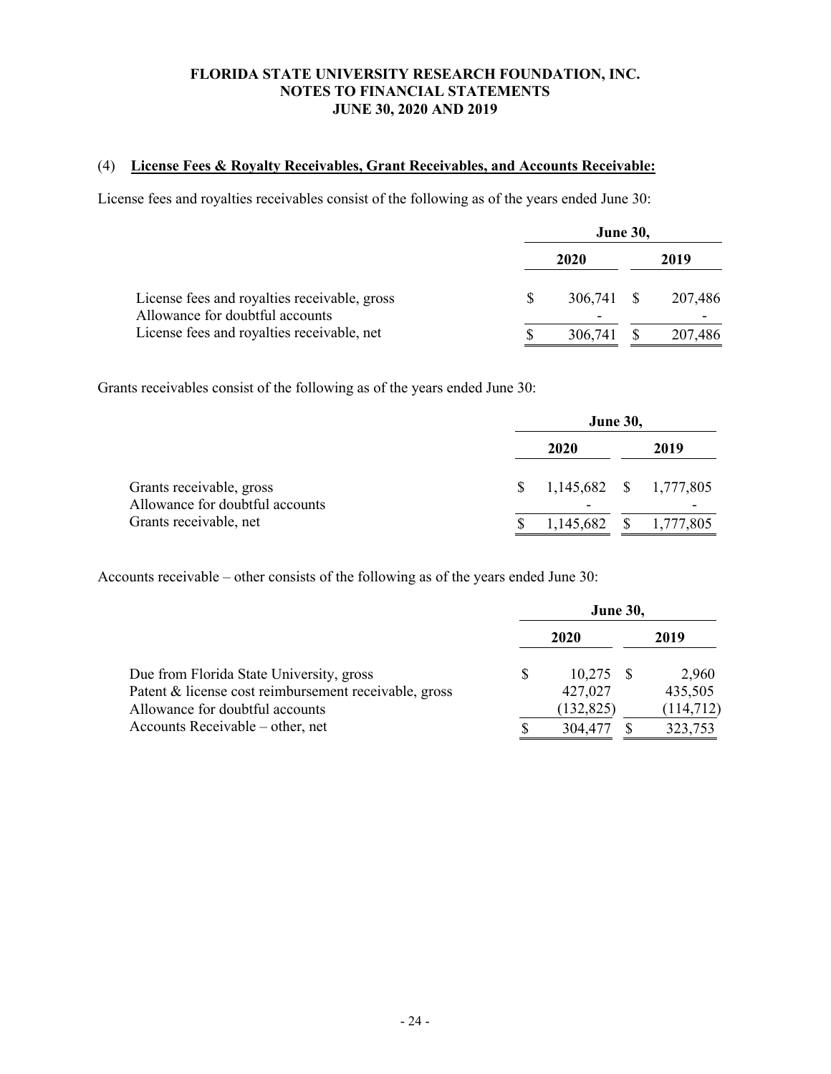# (4) **License Fees & Royalty Receivables, Grant Receivables, and Accounts Receivable:**

License fees and royalties receivables consist of the following as of the years ended June 30:

|                                              |              | <b>June 30,</b> |         |
|----------------------------------------------|--------------|-----------------|---------|
|                                              |              | 2020            | 2019    |
| License fees and royalties receivable, gross | <sup>S</sup> | 306,741 \$      | 207,486 |
| Allowance for doubtful accounts              |              |                 |         |
| License fees and royalties receivable, net   |              | 306,741 \$      | 207,486 |

Grants receivables consist of the following as of the years ended June 30:

|                                                             | <b>June 30,</b>                                       |  |                        |  |  |
|-------------------------------------------------------------|-------------------------------------------------------|--|------------------------|--|--|
|                                                             | 2020                                                  |  | 2019                   |  |  |
| Grants receivable, gross<br>Allowance for doubtful accounts | $$1,145,682$ $$1,777,805$<br>$\overline{\phantom{0}}$ |  |                        |  |  |
| Grants receivable, net                                      | 1,145,682                                             |  | $\frac{\$}{1,777,805}$ |  |  |

Accounts receivable – other consists of the following as of the years ended June 30:

|                                                                                          |      | <b>June 30,</b>       |  |                       |  |  |  |
|------------------------------------------------------------------------------------------|------|-----------------------|--|-----------------------|--|--|--|
|                                                                                          | 2020 |                       |  | 2019                  |  |  |  |
| Due from Florida State University, gross                                                 | S    | 10,275                |  | 2,960                 |  |  |  |
| Patent & license cost reimbursement receivable, gross<br>Allowance for doubtful accounts |      | 427,027<br>(132, 825) |  | 435,505<br>(114, 712) |  |  |  |
| Accounts Receivable – other, net                                                         | S    | 304,477               |  | 323,753               |  |  |  |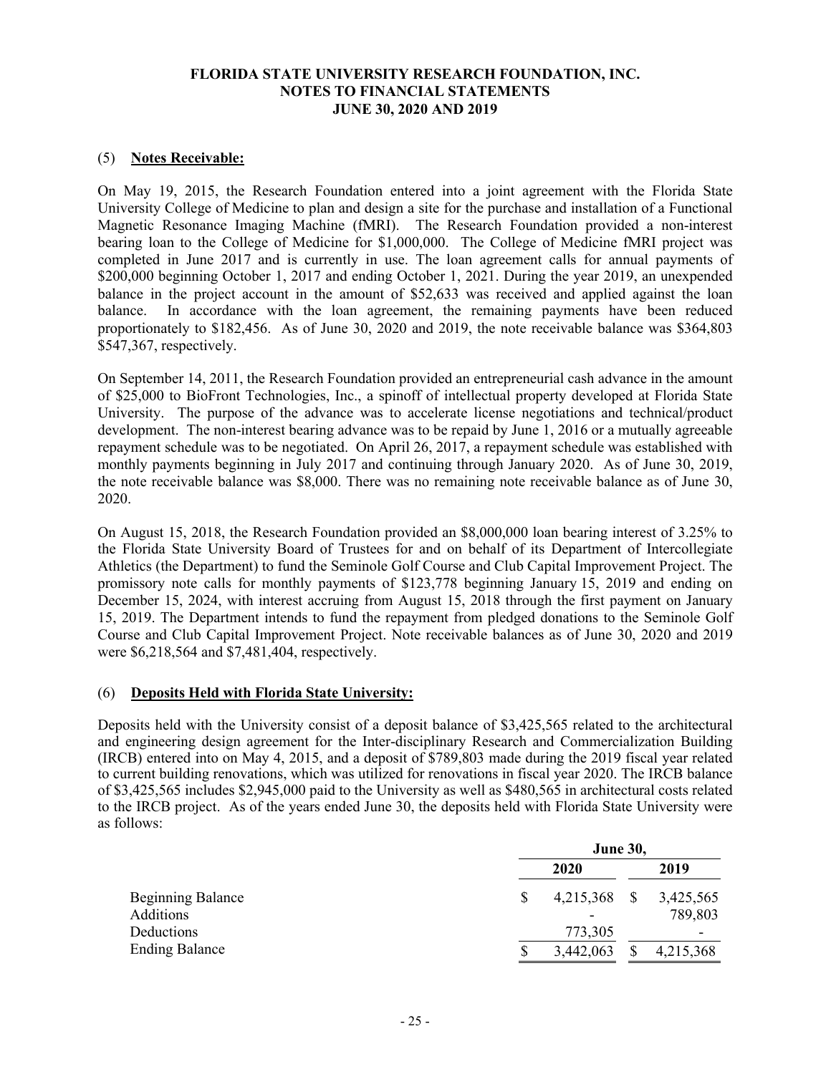# (5) **Notes Receivable:**

On May 19, 2015, the Research Foundation entered into a joint agreement with the Florida State University College of Medicine to plan and design a site for the purchase and installation of a Functional Magnetic Resonance Imaging Machine (fMRI). The Research Foundation provided a non-interest bearing loan to the College of Medicine for \$1,000,000. The College of Medicine fMRI project was completed in June 2017 and is currently in use. The loan agreement calls for annual payments of \$200,000 beginning October 1, 2017 and ending October 1, 2021. During the year 2019, an unexpended balance in the project account in the amount of \$52,633 was received and applied against the loan balance. In accordance with the loan agreement, the remaining payments have been reduced proportionately to \$182,456. As of June 30, 2020 and 2019, the note receivable balance was \$364,803 \$547,367, respectively.

On September 14, 2011, the Research Foundation provided an entrepreneurial cash advance in the amount of \$25,000 to BioFront Technologies, Inc., a spinoff of intellectual property developed at Florida State University. The purpose of the advance was to accelerate license negotiations and technical/product development. The non-interest bearing advance was to be repaid by June 1, 2016 or a mutually agreeable repayment schedule was to be negotiated. On April 26, 2017, a repayment schedule was established with monthly payments beginning in July 2017 and continuing through January 2020. As of June 30, 2019, the note receivable balance was \$8,000. There was no remaining note receivable balance as of June 30, 2020.

On August 15, 2018, the Research Foundation provided an \$8,000,000 loan bearing interest of 3.25% to the Florida State University Board of Trustees for and on behalf of its Department of Intercollegiate Athletics (the Department) to fund the Seminole Golf Course and Club Capital Improvement Project. The promissory note calls for monthly payments of \$123,778 beginning January 15, 2019 and ending on December 15, 2024, with interest accruing from August 15, 2018 through the first payment on January 15, 2019. The Department intends to fund the repayment from pledged donations to the Seminole Golf Course and Club Capital Improvement Project. Note receivable balances as of June 30, 2020 and 2019 were \$6,218,564 and \$7,481,404, respectively.

### (6) **Deposits Held with Florida State University:**

Deposits held with the University consist of a deposit balance of \$3,425,565 related to the architectural and engineering design agreement for the Inter-disciplinary Research and Commercialization Building (IRCB) entered into on May 4, 2015, and a deposit of \$789,803 made during the 2019 fiscal year related to current building renovations, which was utilized for renovations in fiscal year 2020. The IRCB balance of \$3,425,565 includes \$2,945,000 paid to the University as well as \$480,565 in architectural costs related to the IRCB project. As of the years ended June 30, the deposits held with Florida State University were as follows:

|                          | <b>June 30,</b> |  |           |  |  |
|--------------------------|-----------------|--|-----------|--|--|
|                          | 2020            |  | 2019      |  |  |
| <b>Beginning Balance</b> | 4,215,368 \$    |  | 3,425,565 |  |  |
| Additions                |                 |  | 789,803   |  |  |
| Deductions               | 773,305         |  |           |  |  |
| <b>Ending Balance</b>    | 3,442,063       |  | 4,215,368 |  |  |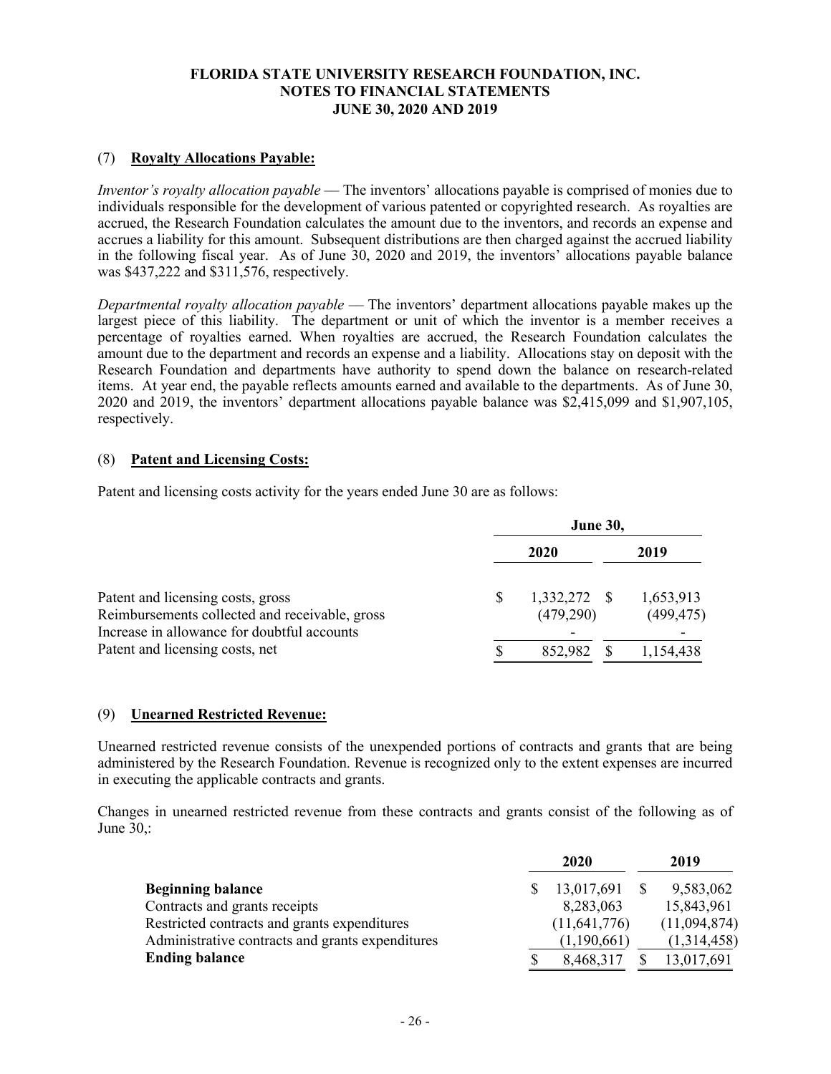### (7) **Royalty Allocations Payable:**

*Inventor's royalty allocation payable* — The inventors' allocations payable is comprised of monies due to individuals responsible for the development of various patented or copyrighted research. As royalties are accrued, the Research Foundation calculates the amount due to the inventors, and records an expense and accrues a liability for this amount. Subsequent distributions are then charged against the accrued liability in the following fiscal year. As of June 30, 2020 and 2019, the inventors' allocations payable balance was \$437,222 and \$311,576, respectively.

*Departmental royalty allocation payable ––* The inventors' department allocations payable makes up the largest piece of this liability. The department or unit of which the inventor is a member receives a percentage of royalties earned. When royalties are accrued, the Research Foundation calculates the amount due to the department and records an expense and a liability. Allocations stay on deposit with the Research Foundation and departments have authority to spend down the balance on research-related items. At year end, the payable reflects amounts earned and available to the departments. As of June 30, 2020 and 2019, the inventors' department allocations payable balance was \$2,415,099 and \$1,907,105, respectively.

### (8) **Patent and Licensing Costs:**

Patent and licensing costs activity for the years ended June 30 are as follows:

|                                                                                               | <b>June 30,</b> |  |            |  |  |
|-----------------------------------------------------------------------------------------------|-----------------|--|------------|--|--|
|                                                                                               | 2020            |  | 2019       |  |  |
| Patent and licensing costs, gross                                                             | 1,332,272 \$    |  | 1,653,913  |  |  |
| Reimbursements collected and receivable, gross<br>Increase in allowance for doubtful accounts | (479,290)       |  | (499, 475) |  |  |
| Patent and licensing costs, net                                                               | 852,982         |  | 1,154,438  |  |  |

### (9) **Unearned Restricted Revenue:**

Unearned restricted revenue consists of the unexpended portions of contracts and grants that are being administered by the Research Foundation. Revenue is recognized only to the extent expenses are incurred in executing the applicable contracts and grants.

Changes in unearned restricted revenue from these contracts and grants consist of the following as of June 30,:

|                                                  | 2020         | 2019         |
|--------------------------------------------------|--------------|--------------|
| <b>Beginning balance</b>                         | 13,017,691   | 9,583,062    |
| Contracts and grants receipts                    | 8,283,063    | 15,843,961   |
| Restricted contracts and grants expenditures     | (11,641,776) | (11,094,874) |
| Administrative contracts and grants expenditures | (1,190,661)  | (1,314,458)  |
| <b>Ending balance</b>                            | 8,468,317    | 13,017,691   |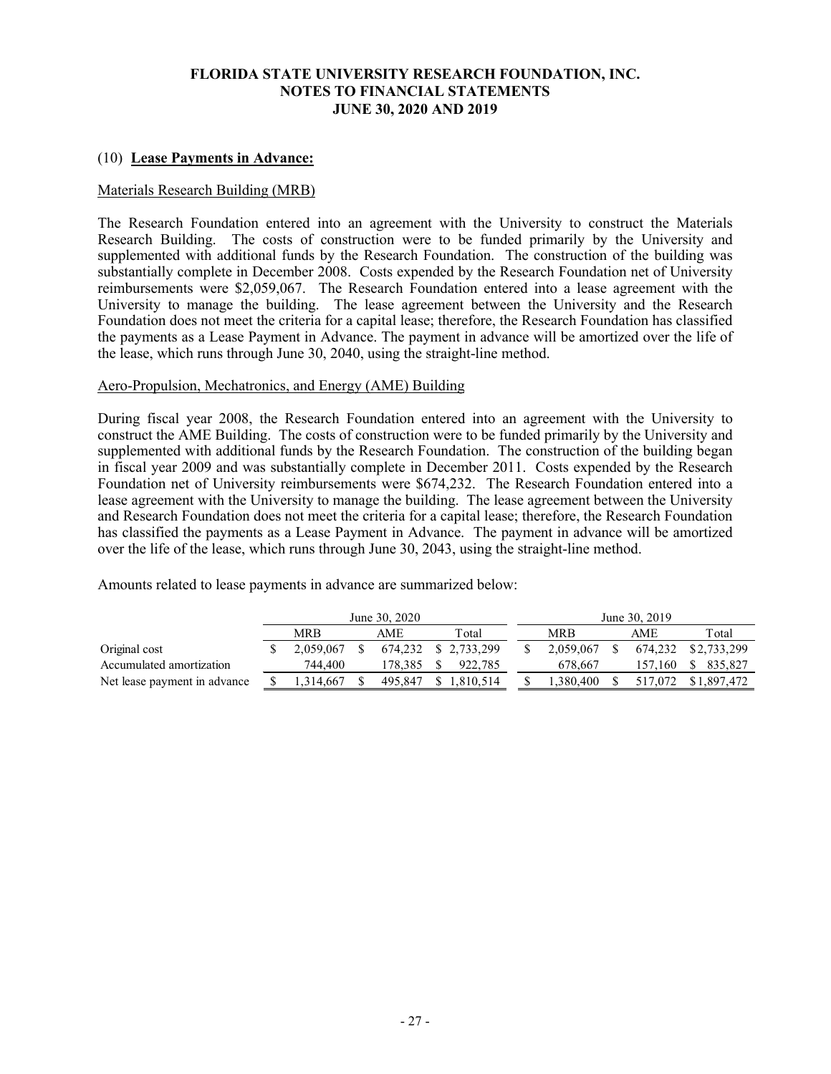#### (10) **Lease Payments in Advance:**

#### Materials Research Building (MRB)

The Research Foundation entered into an agreement with the University to construct the Materials Research Building. The costs of construction were to be funded primarily by the University and supplemented with additional funds by the Research Foundation. The construction of the building was substantially complete in December 2008. Costs expended by the Research Foundation net of University reimbursements were \$2,059,067. The Research Foundation entered into a lease agreement with the University to manage the building. The lease agreement between the University and the Research Foundation does not meet the criteria for a capital lease; therefore, the Research Foundation has classified the payments as a Lease Payment in Advance. The payment in advance will be amortized over the life of the lease, which runs through June 30, 2040, using the straight-line method.

#### Aero-Propulsion, Mechatronics, and Energy (AME) Building

During fiscal year 2008, the Research Foundation entered into an agreement with the University to construct the AME Building. The costs of construction were to be funded primarily by the University and supplemented with additional funds by the Research Foundation. The construction of the building began in fiscal year 2009 and was substantially complete in December 2011. Costs expended by the Research Foundation net of University reimbursements were \$674,232. The Research Foundation entered into a lease agreement with the University to manage the building. The lease agreement between the University and Research Foundation does not meet the criteria for a capital lease; therefore, the Research Foundation has classified the payments as a Lease Payment in Advance. The payment in advance will be amortized over the life of the lease, which runs through June 30, 2043, using the straight-line method.

Amounts related to lease payments in advance are summarized below:

|                              | June 30, 2020 |           |  |         |  |              |  | June 30, 2019 |         |             |
|------------------------------|---------------|-----------|--|---------|--|--------------|--|---------------|---------|-------------|
|                              |               | MRB       |  | AME     |  | Total        |  | <b>MRB</b>    | AME     | Total       |
| Original cost                |               | 2.059,067 |  | 674.232 |  | \$ 2.733,299 |  | 2.059,067     | 674.232 | \$2,733,299 |
| Accumulated amortization     |               | 744,400   |  | 78.385  |  | 922.785      |  | 678,667       | 157.160 | 835,827     |
| Net lease payment in advance |               | 1.314.667 |  | 495.847 |  | .810.514     |  | 1.380.400     | 517,072 | \$1,897,472 |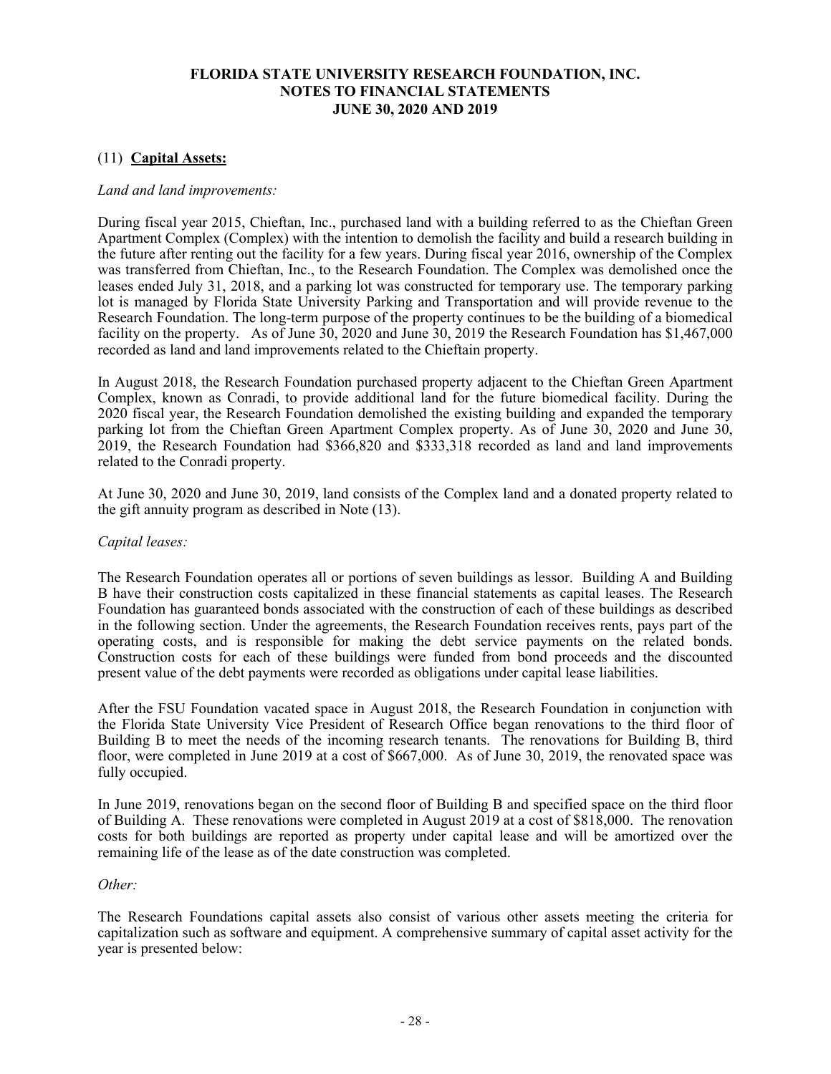# (11) **Capital Assets:**

#### *Land and land improvements:*

During fiscal year 2015, Chieftan, Inc., purchased land with a building referred to as the Chieftan Green Apartment Complex (Complex) with the intention to demolish the facility and build a research building in the future after renting out the facility for a few years. During fiscal year 2016, ownership of the Complex was transferred from Chieftan, Inc., to the Research Foundation. The Complex was demolished once the leases ended July 31, 2018, and a parking lot was constructed for temporary use. The temporary parking lot is managed by Florida State University Parking and Transportation and will provide revenue to the Research Foundation. The long-term purpose of the property continues to be the building of a biomedical facility on the property. As of June 30, 2020 and June 30, 2019 the Research Foundation has \$1,467,000 recorded as land and land improvements related to the Chieftain property.

In August 2018, the Research Foundation purchased property adjacent to the Chieftan Green Apartment Complex, known as Conradi, to provide additional land for the future biomedical facility. During the 2020 fiscal year, the Research Foundation demolished the existing building and expanded the temporary parking lot from the Chieftan Green Apartment Complex property. As of June 30, 2020 and June 30, 2019, the Research Foundation had \$366,820 and \$333,318 recorded as land and land improvements related to the Conradi property.

At June 30, 2020 and June 30, 2019, land consists of the Complex land and a donated property related to the gift annuity program as described in Note (13).

#### *Capital leases:*

The Research Foundation operates all or portions of seven buildings as lessor. Building A and Building B have their construction costs capitalized in these financial statements as capital leases. The Research Foundation has guaranteed bonds associated with the construction of each of these buildings as described in the following section. Under the agreements, the Research Foundation receives rents, pays part of the operating costs, and is responsible for making the debt service payments on the related bonds. Construction costs for each of these buildings were funded from bond proceeds and the discounted present value of the debt payments were recorded as obligations under capital lease liabilities.

After the FSU Foundation vacated space in August 2018, the Research Foundation in conjunction with the Florida State University Vice President of Research Office began renovations to the third floor of Building B to meet the needs of the incoming research tenants. The renovations for Building B, third floor, were completed in June 2019 at a cost of \$667,000. As of June 30, 2019, the renovated space was fully occupied.

In June 2019, renovations began on the second floor of Building B and specified space on the third floor of Building A. These renovations were completed in August 2019 at a cost of \$818,000. The renovation costs for both buildings are reported as property under capital lease and will be amortized over the remaining life of the lease as of the date construction was completed.

#### *Other:*

The Research Foundations capital assets also consist of various other assets meeting the criteria for capitalization such as software and equipment. A comprehensive summary of capital asset activity for the year is presented below: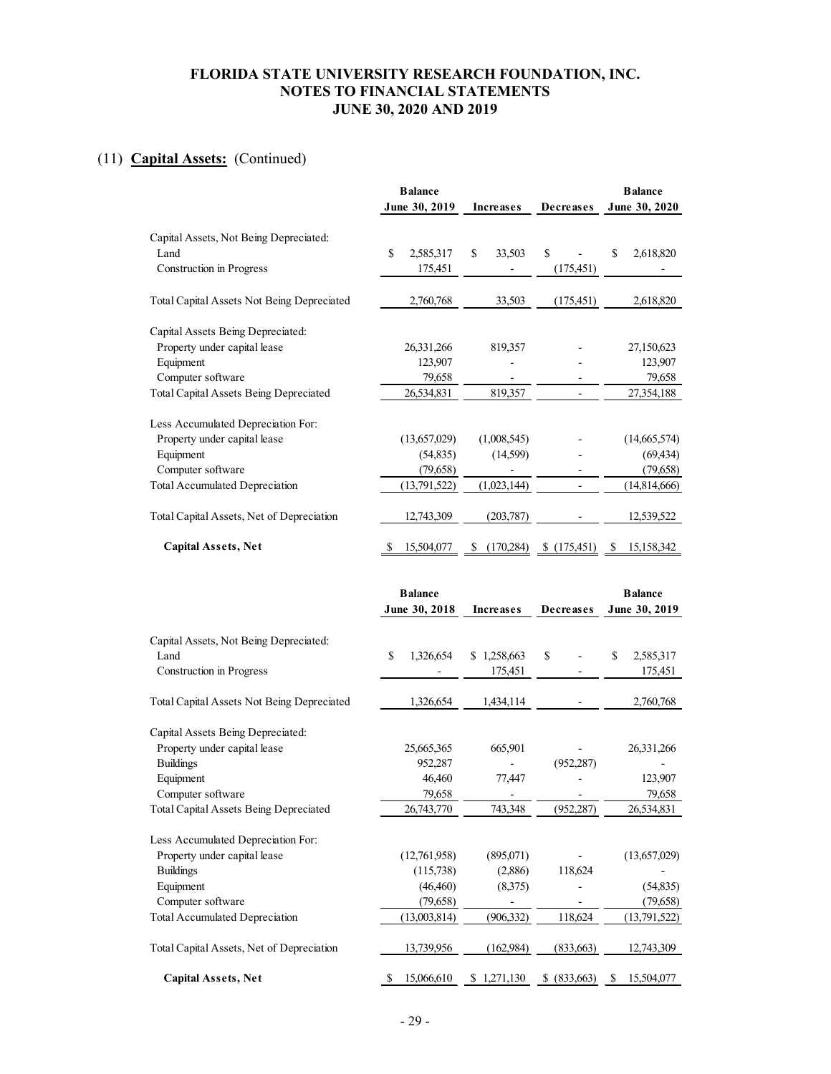# (11) **Capital Assets:** (Continued)

|                                                                                                                                               | <b>Balance</b><br>June 30, 2019                       | Increases                              | Decreases        | <b>Balance</b><br>June 30, 2020                       |  |
|-----------------------------------------------------------------------------------------------------------------------------------------------|-------------------------------------------------------|----------------------------------------|------------------|-------------------------------------------------------|--|
| Capital Assets, Not Being Depreciated:<br>Land<br>Construction in Progress                                                                    | \$<br>2,585,317<br>175,451                            | 33,503<br>\$.                          | \$<br>(175, 451) | S<br>2,618,820                                        |  |
| <b>Total Capital Assets Not Being Depreciated</b>                                                                                             | 2,760,768                                             | 33,503                                 | (175, 451)       | 2,618,820                                             |  |
| Capital Assets Being Depreciated:<br>Property under capital lease<br>Equipment<br>Computer software                                           | 26,331,266<br>123,907<br>79,658                       | 819,357                                |                  | 27,150,623<br>123,907<br>79,658                       |  |
| <b>Total Capital Assets Being Depreciated</b>                                                                                                 | 26,534,831                                            | 819,357                                |                  | 27,354,188                                            |  |
| Less Accumulated Depreciation For:<br>Property under capital lease<br>Equipment<br>Computer software<br><b>Total Accumulated Depreciation</b> | (13,657,029)<br>(54, 835)<br>(79,658)<br>(13,791,522) | (1,008,545)<br>(14,599)<br>(1,023,144) |                  | (14,665,574)<br>(69, 434)<br>(79,658)<br>(14,814,666) |  |
| Total Capital Assets, Net of Depreciation                                                                                                     | 12,743,309                                            | (203, 787)                             |                  | 12,539,522                                            |  |
| <b>Capital Assets, Net</b>                                                                                                                    | 15,504,077                                            | (170, 284)                             | (175, 451)<br>S  | 15,158,342<br>S                                       |  |

|                                                   | <b>Balance</b>  |                |                  | <b>Balance</b>  |  |  |
|---------------------------------------------------|-----------------|----------------|------------------|-----------------|--|--|
|                                                   | June 30, 2018   | Increases      | <b>Decreases</b> | June 30, 2019   |  |  |
| Capital Assets, Not Being Depreciated:            |                 |                |                  |                 |  |  |
| Land                                              | \$<br>1,326,654 | \$1,258,663    | <sup>\$</sup>    | \$<br>2,585,317 |  |  |
| Construction in Progress                          |                 | 175,451        |                  | 175,451         |  |  |
| <b>Total Capital Assets Not Being Depreciated</b> | 1,326,654       | 1,434,114      |                  | 2,760,768       |  |  |
| Capital Assets Being Depreciated:                 |                 |                |                  |                 |  |  |
| Property under capital lease                      | 25,665,365      | 665,901        |                  | 26, 331, 266    |  |  |
| <b>Buildings</b>                                  | 952,287         |                | (952, 287)       |                 |  |  |
| Equipment                                         | 46,460          | 77,447         |                  | 123,907         |  |  |
| Computer software                                 | 79,658          |                |                  | 79,658          |  |  |
| <b>Total Capital Assets Being Depreciated</b>     | 26,743,770      | 743,348        | (952, 287)       | 26,534,831      |  |  |
| Less Accumulated Depreciation For:                |                 |                |                  |                 |  |  |
| Property under capital lease                      | (12,761,958)    | (895,071)      |                  | (13,657,029)    |  |  |
| <b>Buildings</b>                                  | (115,738)       | (2,886)        | 118,624          |                 |  |  |
| Equipment                                         | (46, 460)       | (8,375)        |                  | (54, 835)       |  |  |
| Computer software                                 | (79, 658)       |                |                  | (79, 658)       |  |  |
| <b>Total Accumulated Depreciation</b>             | (13,003,814)    | (906, 332)     | 118,624          | (13,791,522)    |  |  |
| Total Capital Assets, Net of Depreciation         | 13,739,956      | (162,984)      | (833,663)        | 12,743,309      |  |  |
| <b>Capital Assets, Net</b>                        | 15,066,610      | 1,271,130<br>S | (833,663)<br>S   | 15,504,077<br>S |  |  |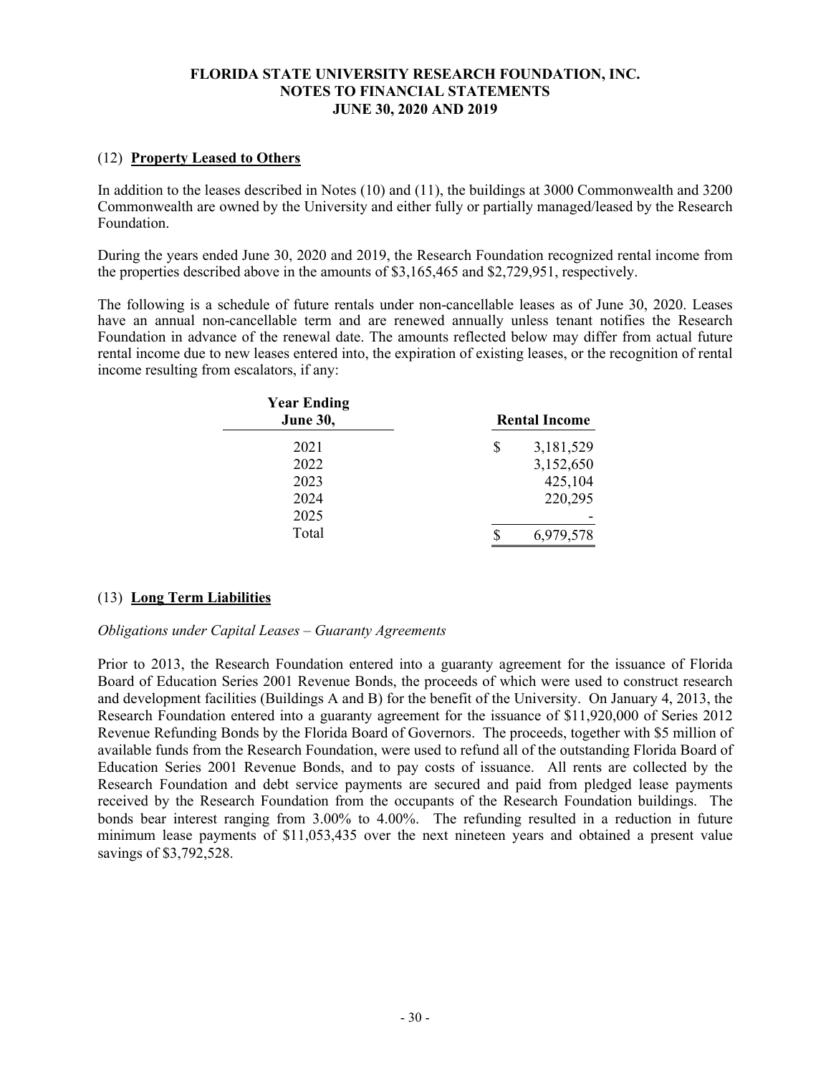## (12) **Property Leased to Others**

In addition to the leases described in Notes (10) and (11), the buildings at 3000 Commonwealth and 3200 Commonwealth are owned by the University and either fully or partially managed/leased by the Research Foundation.

During the years ended June 30, 2020 and 2019, the Research Foundation recognized rental income from the properties described above in the amounts of \$3,165,465 and \$2,729,951, respectively.

The following is a schedule of future rentals under non-cancellable leases as of June 30, 2020. Leases have an annual non-cancellable term and are renewed annually unless tenant notifies the Research Foundation in advance of the renewal date. The amounts reflected below may differ from actual future rental income due to new leases entered into, the expiration of existing leases, or the recognition of rental income resulting from escalators, if any:

| <b>Year Ending</b><br><b>June 30,</b> |   | <b>Rental Income</b> |
|---------------------------------------|---|----------------------|
| 2021                                  | S | 3,181,529            |
| 2022                                  |   | 3,152,650            |
| 2023                                  |   | 425,104              |
| 2024                                  |   | 220,295              |
| 2025                                  |   |                      |
| Total                                 |   | 6,979,578            |

# (13) **Long Term Liabilities**

*Obligations under Capital Leases – Guaranty Agreements*

Prior to 2013, the Research Foundation entered into a guaranty agreement for the issuance of Florida Board of Education Series 2001 Revenue Bonds, the proceeds of which were used to construct research and development facilities (Buildings A and B) for the benefit of the University. On January 4, 2013, the Research Foundation entered into a guaranty agreement for the issuance of \$11,920,000 of Series 2012 Revenue Refunding Bonds by the Florida Board of Governors. The proceeds, together with \$5 million of available funds from the Research Foundation, were used to refund all of the outstanding Florida Board of Education Series 2001 Revenue Bonds, and to pay costs of issuance. All rents are collected by the Research Foundation and debt service payments are secured and paid from pledged lease payments received by the Research Foundation from the occupants of the Research Foundation buildings. The bonds bear interest ranging from 3.00% to 4.00%. The refunding resulted in a reduction in future minimum lease payments of \$11,053,435 over the next nineteen years and obtained a present value savings of \$3,792,528.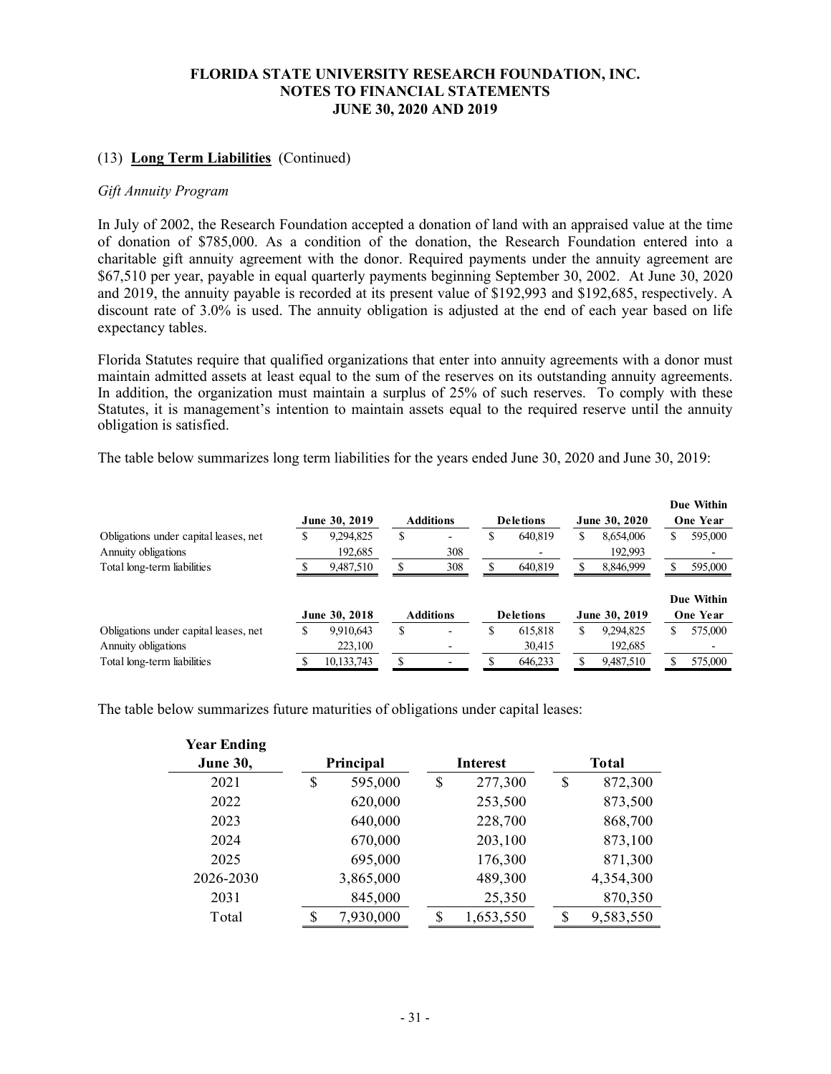## (13) **Long Term Liabilities** (Continued)

#### *Gift Annuity Program*

In July of 2002, the Research Foundation accepted a donation of land with an appraised value at the time of donation of \$785,000. As a condition of the donation, the Research Foundation entered into a charitable gift annuity agreement with the donor. Required payments under the annuity agreement are \$67,510 per year, payable in equal quarterly payments beginning September 30, 2002. At June 30, 2020 and 2019, the annuity payable is recorded at its present value of \$192,993 and \$192,685, respectively. A discount rate of 3.0% is used. The annuity obligation is adjusted at the end of each year based on life expectancy tables.

Florida Statutes require that qualified organizations that enter into annuity agreements with a donor must maintain admitted assets at least equal to the sum of the reserves on its outstanding annuity agreements. In addition, the organization must maintain a surplus of 25% of such reserves. To comply with these Statutes, it is management's intention to maintain assets equal to the required reserve until the annuity obligation is satisfied.

The table below summarizes long term liabilities for the years ended June 30, 2020 and June 30, 2019:

|                                       |    | June 30, 2019 |   | <b>Additions</b> |    | <b>Deletions</b> |    | June 30, 2020 |   | <b>Due Within</b><br><b>One Year</b> |
|---------------------------------------|----|---------------|---|------------------|----|------------------|----|---------------|---|--------------------------------------|
| Obligations under capital leases, net | S  | 9,294,825     | S | ۰                | \$ | 640,819          | S  | 8,654,006     | ъ | 595,000                              |
| Annuity obligations                   |    | 192,685       |   | 308              |    |                  |    | 192,993       |   |                                      |
| Total long-term liabilities           |    | 9,487,510     |   | 308              | S  | 640,819          |    | 8,846,999     |   | 595,000                              |
|                                       |    |               |   |                  |    |                  |    |               |   | <b>Due Within</b>                    |
|                                       |    | June 30, 2018 |   | <b>Additions</b> |    | <b>Deletions</b> |    | June 30, 2019 |   | <b>One Year</b>                      |
| Obligations under capital leases, net | \$ | 9.910.643     | S |                  | \$ | 615,818          | \$ | 9,294,825     | S | 575,000                              |
| Annuity obligations                   |    | 223,100       |   |                  |    | 30,415           |    | 192,685       |   |                                      |
| Total long-term liabilities           |    | 10,133,743    |   |                  | S  | 646,233          |    | 9,487,510     |   | 575,000                              |

The table below summarizes future maturities of obligations under capital leases:

| <b>Year Ending</b> |                  |           |                 |           |           |           |
|--------------------|------------------|-----------|-----------------|-----------|-----------|-----------|
| <b>June 30,</b>    | <b>Principal</b> |           | <b>Interest</b> |           |           | Total     |
| 2021               | \$               | 595,000   | \$              | 277,300   | \$        | 872,300   |
| 2022               |                  | 620,000   |                 | 253,500   |           | 873,500   |
| 2023               |                  | 640,000   | 228,700         |           | 868,700   |           |
| 2024               |                  | 670,000   | 203,100         |           | 873,100   |           |
| 2025               |                  | 695,000   | 176,300         |           | 871,300   |           |
| 2026-2030          |                  | 3,865,000 | 489,300         |           | 4,354,300 |           |
| 2031               |                  | 845,000   |                 | 25,350    |           | 870,350   |
| Total              |                  | 7,930,000 |                 | 1,653,550 | S         | 9,583,550 |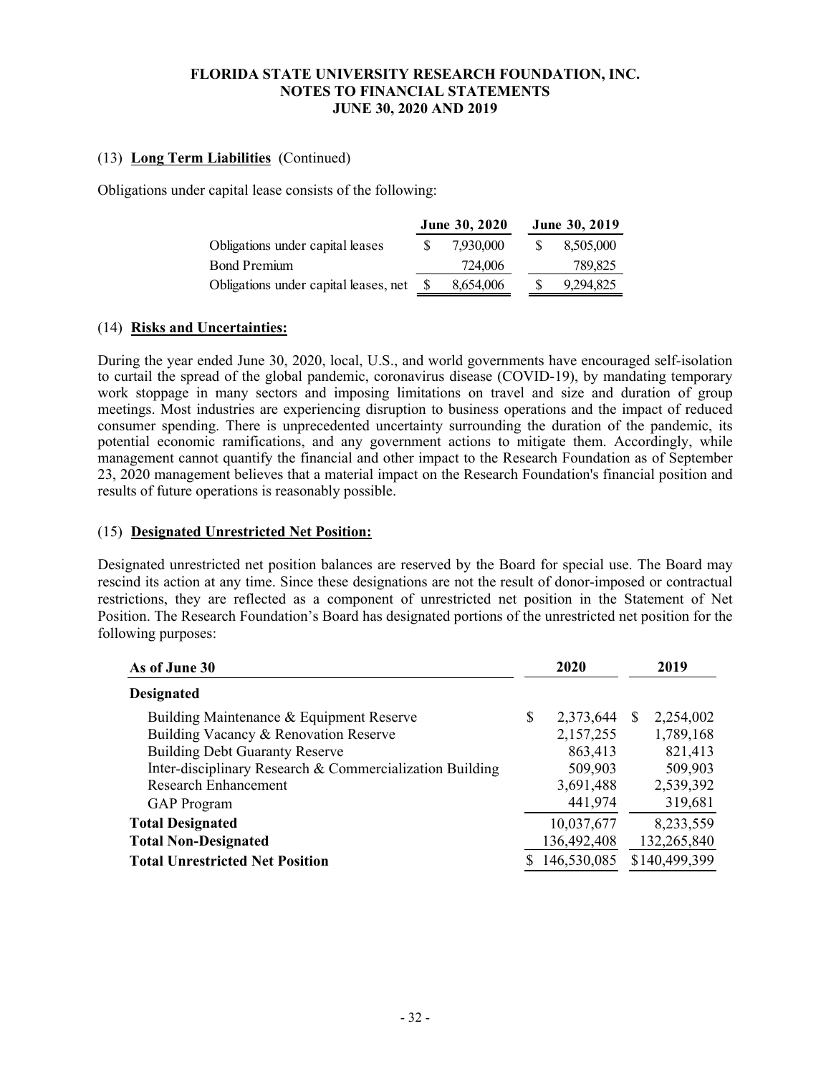## (13) **Long Term Liabilities** (Continued)

Obligations under capital lease consists of the following:

|                                       | <b>June 30, 2020</b> |    | June 30, 2019 |
|---------------------------------------|----------------------|----|---------------|
| Obligations under capital leases      | 7.930,000            | -S | 8.505.000     |
| <b>Bond Premium</b>                   | 724,006              |    | 789,825       |
| Obligations under capital leases, net | 8,654,006            |    | 9,294,825     |

## (14) **Risks and Uncertainties:**

During the year ended June 30, 2020, local, U.S., and world governments have encouraged self-isolation to curtail the spread of the global pandemic, coronavirus disease (COVID-19), by mandating temporary work stoppage in many sectors and imposing limitations on travel and size and duration of group meetings. Most industries are experiencing disruption to business operations and the impact of reduced consumer spending. There is unprecedented uncertainty surrounding the duration of the pandemic, its potential economic ramifications, and any government actions to mitigate them. Accordingly, while management cannot quantify the financial and other impact to the Research Foundation as of September 23, 2020 management believes that a material impact on the Research Foundation's financial position and results of future operations is reasonably possible.

## (15) **Designated Unrestricted Net Position:**

Designated unrestricted net position balances are reserved by the Board for special use. The Board may rescind its action at any time. Since these designations are not the result of donor-imposed or contractual restrictions, they are reflected as a component of unrestricted net position in the Statement of Net Position. The Research Foundation's Board has designated portions of the unrestricted net position for the following purposes:

| As of June 30                                            |   | 2020        |    | 2019          |
|----------------------------------------------------------|---|-------------|----|---------------|
| <b>Designated</b>                                        |   |             |    |               |
| Building Maintenance & Equipment Reserve                 | S | 2,373,644   | -S | 2,254,002     |
| Building Vacancy & Renovation Reserve                    |   | 2,157,255   |    | 1,789,168     |
| <b>Building Debt Guaranty Reserve</b>                    |   | 863,413     |    | 821,413       |
| Inter-disciplinary Research & Commercialization Building |   | 509,903     |    | 509,903       |
| <b>Research Enhancement</b>                              |   | 3,691,488   |    | 2,539,392     |
| <b>GAP</b> Program                                       |   | 441,974     |    | 319,681       |
| <b>Total Designated</b>                                  |   | 10,037,677  |    | 8,233,559     |
| <b>Total Non-Designated</b>                              |   | 136,492,408 |    | 132,265,840   |
| <b>Total Unrestricted Net Position</b>                   |   | 146,530,085 |    | \$140,499,399 |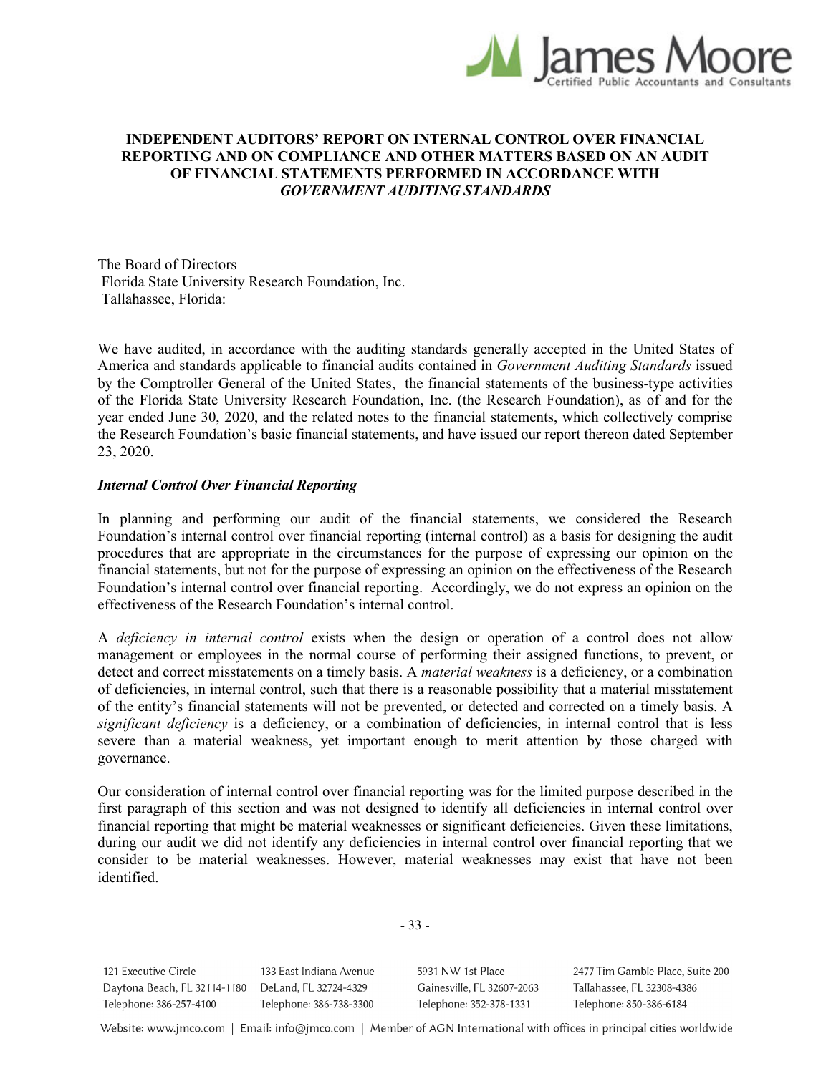

### **INDEPENDENT AUDITORS' REPORT ON INTERNAL CONTROL OVER FINANCIAL REPORTING AND ON COMPLIANCE AND OTHER MATTERS BASED ON AN AUDIT OF FINANCIAL STATEMENTS PERFORMED IN ACCORDANCE WITH** *GOVERNMENT AUDITING STANDARDS*

The Board of Directors Florida State University Research Foundation, Inc. Tallahassee, Florida:

We have audited, in accordance with the auditing standards generally accepted in the United States of America and standards applicable to financial audits contained in *Government Auditing Standards* issued by the Comptroller General of the United States, the financial statements of the business-type activities of the Florida State University Research Foundation, Inc. (the Research Foundation), as of and for the year ended June 30, 2020, and the related notes to the financial statements, which collectively comprise the Research Foundation's basic financial statements, and have issued our report thereon dated September 23, 2020.

#### *Internal Control Over Financial Reporting*

In planning and performing our audit of the financial statements, we considered the Research Foundation's internal control over financial reporting (internal control) as a basis for designing the audit procedures that are appropriate in the circumstances for the purpose of expressing our opinion on the financial statements, but not for the purpose of expressing an opinion on the effectiveness of the Research Foundation's internal control over financial reporting. Accordingly, we do not express an opinion on the effectiveness of the Research Foundation's internal control.

A *deficiency in internal control* exists when the design or operation of a control does not allow management or employees in the normal course of performing their assigned functions, to prevent, or detect and correct misstatements on a timely basis. A *material weakness* is a deficiency, or a combination of deficiencies, in internal control, such that there is a reasonable possibility that a material misstatement of the entity's financial statements will not be prevented, or detected and corrected on a timely basis. A *significant deficiency* is a deficiency, or a combination of deficiencies, in internal control that is less severe than a material weakness, yet important enough to merit attention by those charged with governance.

Our consideration of internal control over financial reporting was for the limited purpose described in the first paragraph of this section and was not designed to identify all deficiencies in internal control over financial reporting that might be material weaknesses or significant deficiencies. Given these limitations, during our audit we did not identify any deficiencies in internal control over financial reporting that we consider to be material weaknesses. However, material weaknesses may exist that have not been identified.

- 33 -

121 Executive Circle 133 East Indiana Avenue Daytona Beach, FL 32114-1180 DeLand, FL 32724-4329 Telephone: 386-257-4100 Telephone: 386-738-3300

5931 NW 1st Place Gainesville, FL 32607-2063 Telephone: 352-378-1331

2477 Tim Gamble Place, Suite 200 Tallahassee, FL 32308-4386 Telephone: 850-386-6184

Website: www.jmco.com | Email: info@jmco.com | Member of AGN International with offices in principal cities worldwide